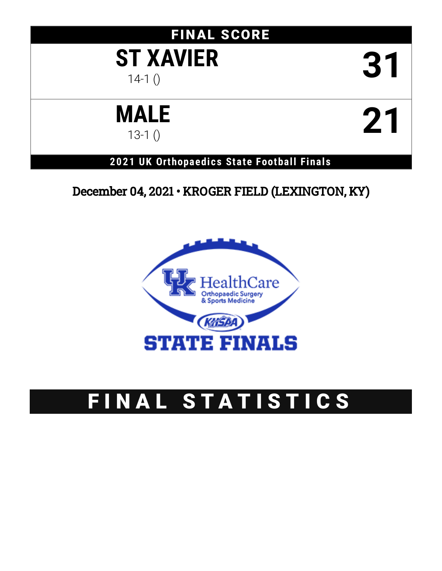# FINAL SCORE

# **ST XAVIER 31**

# **MALE**  $121<sub>13-10</sub>$

# **2021 UK Orthopaedics State Football Finals**

# December 04, 2021 • KROGER FIELD (LEXINGTON, KY)



# FINAL STATISTICS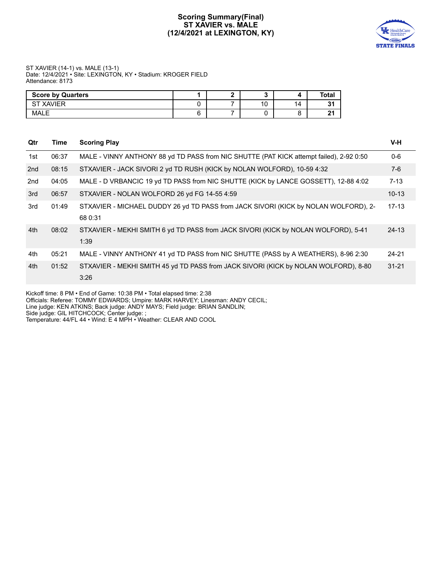# **Scoring Summary(Final) ST XAVIER vs. MALE (12/4/2021 at LEXINGTON, KY)**



### ST XAVIER (14-1) vs. MALE (13-1) Date: 12/4/2021 • Site: LEXINGTON, KY • Stadium: KROGER FIELD Attendance: 8173

| <b>Score by Quarters</b> |  |    |     | Total       |
|--------------------------|--|----|-----|-------------|
| <b>XAVIER</b><br>cт      |  | 10 | 14. | $\sim$<br>. |
| <b>MALE</b>              |  |    |     | $\sim$      |

| Qtr | Time  | <b>Scoring Play</b>                                                                            | $V-H$     |
|-----|-------|------------------------------------------------------------------------------------------------|-----------|
| 1st | 06:37 | MALE - VINNY ANTHONY 88 yd TD PASS from NIC SHUTTE (PAT KICK attempt failed), 2-92 0:50        | $0 - 6$   |
| 2nd | 08:15 | STXAVIER - JACK SIVORI 2 yd TD RUSH (KICK by NOLAN WOLFORD), 10-59 4:32                        | $7-6$     |
| 2nd | 04:05 | MALE - D VRBANCIC 19 yd TD PASS from NIC SHUTTE (KICK by LANCE GOSSETT), 12-88 4:02            | $7 - 13$  |
| 3rd | 06:57 | STXAVIER - NOLAN WOLFORD 26 yd FG 14-55 4:59                                                   | $10 - 13$ |
| 3rd | 01:49 | STXAVIER - MICHAEL DUDDY 26 yd TD PASS from JACK SIVORI (KICK by NOLAN WOLFORD), 2-<br>68 0:31 | $17 - 13$ |
|     |       |                                                                                                |           |
| 4th | 08:02 | STXAVIER - MEKHI SMITH 6 yd TD PASS from JACK SIVORI (KICK by NOLAN WOLFORD), 5-41<br>1:39     | $24 - 13$ |
| 4th | 05:21 | MALE - VINNY ANTHONY 41 yd TD PASS from NIC SHUTTE (PASS by A WEATHERS), 8-96 2:30             | $24 - 21$ |
| 4th | 01:52 | STXAVIER - MEKHI SMITH 45 yd TD PASS from JACK SIVORI (KICK by NOLAN WOLFORD), 8-80<br>3:26    | $31 - 21$ |

Kickoff time: 8 PM • End of Game: 10:38 PM • Total elapsed time: 2:38

Officials: Referee: TOMMY EDWARDS; Umpire: MARK HARVEY; Linesman: ANDY CECIL;

Line judge: KEN ATKINS; Back judge: ANDY MAYS; Field judge: BRIAN SANDLIN;

Side judge: GIL HITCHCOCK; Center judge: ;

Temperature: 44/FL 44 • Wind: E 4 MPH • Weather: CLEAR AND COOL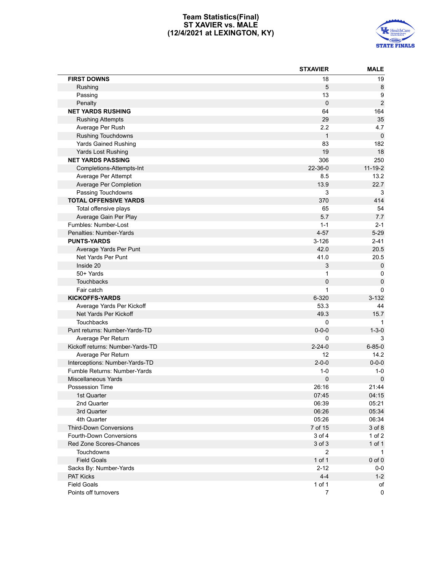# **Team Statistics(Final) ST XAVIER vs. MALE (12/4/2021 at LEXINGTON, KY)**



|                                  | <b>STXAVIER</b> | <b>MALE</b>    |
|----------------------------------|-----------------|----------------|
| <b>FIRST DOWNS</b>               | 18              | 19             |
| Rushing                          | 5               | 8              |
| Passing                          | 13              | 9              |
| Penalty                          | $\pmb{0}$       | $\overline{2}$ |
| <b>NET YARDS RUSHING</b>         | 64              | 164            |
| <b>Rushing Attempts</b>          | 29              | 35             |
| Average Per Rush                 | 2.2             | 4.7            |
| Rushing Touchdowns               | $\mathbf{1}$    | $\mathbf 0$    |
| Yards Gained Rushing             | 83              | 182            |
| Yards Lost Rushing               | 19              | 18             |
| <b>NET YARDS PASSING</b>         | 306             | 250            |
| Completions-Attempts-Int         | 22-36-0         | $11 - 19 - 2$  |
| Average Per Attempt              | 8.5             | 13.2           |
| Average Per Completion           | 13.9            | 22.7           |
| Passing Touchdowns               | 3               | 3              |
| <b>TOTAL OFFENSIVE YARDS</b>     | 370             | 414            |
| Total offensive plays            | 65              | 54             |
| Average Gain Per Play            | 5.7             | 7.7            |
| Fumbles: Number-Lost             | $1 - 1$         | $2 - 1$        |
| Penalties: Number-Yards          | $4 - 57$        | $5 - 29$       |
| <b>PUNTS-YARDS</b>               | $3 - 126$       | $2 - 41$       |
| Average Yards Per Punt           | 42.0            | 20.5           |
| Net Yards Per Punt               | 41.0            | 20.5           |
| Inside 20                        | 3               | $\pmb{0}$      |
| 50+ Yards                        | 1               | 0              |
| Touchbacks                       | 0               | $\pmb{0}$      |
| Fair catch                       | 1               | $\Omega$       |
| <b>KICKOFFS-YARDS</b>            | 6-320           | $3 - 132$      |
| Average Yards Per Kickoff        | 53.3            | 44             |
| Net Yards Per Kickoff            | 49.3            | 15.7           |
| <b>Touchbacks</b>                | 0               | 1              |
| Punt returns: Number-Yards-TD    | $0 - 0 - 0$     | $1 - 3 - 0$    |
| Average Per Return               | 0               | 3              |
| Kickoff returns: Number-Yards-TD | $2 - 24 - 0$    | $6 - 85 - 0$   |
| Average Per Return               | 12              | 14.2           |
| Interceptions: Number-Yards-TD   | $2 - 0 - 0$     | $0 - 0 - 0$    |
| Fumble Returns: Number-Yards     | $1 - 0$         | $1 - 0$        |
| Miscellaneous Yards              | 0               | $\mathbf 0$    |
| Possession Time                  | 26:16           | 21:44          |
| 1st Quarter                      | 07:45           | 04:15          |
| 2nd Quarter                      | 06:39           | 05:21          |
| 3rd Quarter                      | 06:26           | 05:34          |
| 4th Quarter                      | 05:26           | 06:34          |
| <b>Third-Down Conversions</b>    | 7 of 15         | 3 of 8         |
| Fourth-Down Conversions          | 3 of 4          | $1$ of $2$     |
| Red Zone Scores-Chances          | 3 of 3          | 1 of 1         |
| Touchdowns                       | 2               | $\mathbf 1$    |
| <b>Field Goals</b>               | 1 of 1          | $0$ of $0$     |
| Sacks By: Number-Yards           | $2 - 12$        | 0-0            |
| PAT Kicks                        | $4 - 4$         | $1 - 2$        |
| <b>Field Goals</b>               | 1 of 1          | оf             |
| Points off turnovers             | $\overline{7}$  | $\pmb{0}$      |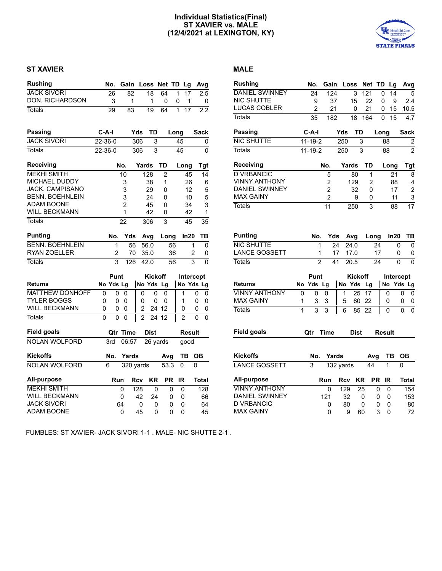# **Individual Statistics(Final) ST XAVIER vs. MALE (12/4/2021 at LEXINGTON, KY)**



# **ST XAVIER MALE**

| <b>Rushing</b>         |         | No.            | Gain           |     |                | Loss           | Net TD Lg |          |                |                | Avg          |
|------------------------|---------|----------------|----------------|-----|----------------|----------------|-----------|----------|----------------|----------------|--------------|
| <b>JACK SIVORI</b>     |         | 26             |                | 82  |                | 18             | 64        | 1        | 17             |                | 2.5          |
| DON. RICHARDSON        |         | 3              |                | 1   |                | 1              | 0         | 0        | 1              |                | 0            |
| <b>Totals</b>          |         | 29             |                | 83  |                | 19             | 64        | 1        | 17             |                | 2.2          |
| <b>Passing</b>         | C-A-I   |                |                |     | Yds            | TD             |           | Long     |                |                | Sack         |
| <b>JACK SIVORI</b>     | 22-36-0 |                |                |     | 306            | 3              |           | 45       |                |                | 0            |
| <b>Totals</b>          | 22-36-0 |                |                |     | 306            | 3              |           | 45       |                |                | 0            |
| <b>Receiving</b>       |         |                | No.            |     | Yards          |                | TD        |          | Long           |                | <b>Tgt</b>   |
| <b>MEKHI SMITH</b>     |         |                | 10             |     |                | 128            | 2         |          | 45             |                | 14           |
| MICHAEL DUDDY          |         |                | 3              |     |                | 38             | 1         |          | 26             |                | 6            |
| <b>JACK. CAMPISANO</b> |         |                | 3              |     |                | 29             | 0         |          | 12             |                | 5            |
| <b>BENN. BOEHNLEIN</b> |         |                | 3              |     |                | 24             | 0         |          | 10             |                | 5            |
| <b>ADAM BOONE</b>      |         |                | $\overline{2}$ |     |                | 45             | 0         |          | 34             |                | 3            |
| <b>WILL BECKMANN</b>   |         |                | $\overline{1}$ |     |                | 42             | 0         |          | 42             |                | 1            |
| Totals                 |         |                | 22             |     |                | 306            | 3         |          | 45             |                | 35           |
| <b>Punting</b>         |         | No.            |                | Yds |                | Avg            | Long      |          | In20           |                | ΤВ           |
| <b>BENN. BOEHNLEIN</b> |         | 1              |                | 56  |                | 56.0           |           | 56       |                | 1              | 0            |
| RYAN ZOELLER           |         | $\overline{2}$ |                | 70  |                | 35.0           |           | 36       |                | $\overline{2}$ | 0            |
| <b>Totals</b>          |         | 3              |                | 126 |                | 42.0           |           | 56       |                | 3              | 0            |
|                        |         | Punt           |                |     |                | <b>Kickoff</b> |           |          | Intercept      |                |              |
| <b>Returns</b>         |         | No Yds Lg      |                |     |                | No Yds         | Lg        |          | No Yds Lg      |                |              |
| <b>MATTHEW DONHOFF</b> | 0       | 0              | 0              |     | 0              | 0              | 0         |          | 1              | 0              | 0            |
| TYLER BOGGS            | 0       | 0              | 0              |     | 0              | 0              | 0         |          | 1              | 0              | 0            |
| <b>WILL BECKMANN</b>   | 0       | 0              | 0              |     | $\overline{2}$ |                | 24 12     |          | 0              | 0              | 0            |
| <b>Totals</b>          | 0       | 0              | 0              |     | $\overline{2}$ | 24             | 12        |          | $\overline{2}$ | U              | $\Omega$     |
| <b>Field goals</b>     |         |                | Qtr Time       |     |                | <b>Dist</b>    |           |          | Result         |                |              |
| <b>NOLAN WOLFORD</b>   |         | 3rd            | 06:57          |     |                | 26 yards       |           |          | good           |                |              |
| <b>Kickoffs</b>        |         | No.            | Yards          |     |                |                | Avg       |          | ΤВ             | OВ             |              |
| <b>NOLAN WOLFORD</b>   | 6       |                | 320 yards      |     |                |                | 53.3      |          | 0              | 0              |              |
| <b>All-purpose</b>     |         | Run            |                |     | <b>Rcv</b>     | <b>KR</b>      | <b>PR</b> |          | <b>IR</b>      |                | <b>Total</b> |
| <b>MEKHI SMITH</b>     |         |                | 0              |     | 128            | 0              |           | 0        | 0              |                | 128          |
| <b>WILL BECKMANN</b>   |         |                | 0              |     | 42             | 24             |           | 0        | 0              |                | 66           |
| <b>JACK SIVORI</b>     |         |                | 64             |     | 0              | 0              |           | 0        | 0              |                | 64           |
| <b>ADAM BOONE</b>      |         |                | 0              |     | 45             | 0              |           | $\Omega$ | 0              |                | 45           |

| <b>Rushing</b>        |    | No.            | Gain           |           | Loss           | <b>Net</b>     | TD   |               | Lg        | Avg            |
|-----------------------|----|----------------|----------------|-----------|----------------|----------------|------|---------------|-----------|----------------|
| <b>DANIEL SWINNEY</b> |    | 24             | 124            |           | 3              | 121            |      | 0             | 14        | 5              |
| <b>NIC SHUTTE</b>     |    | 9              | 37             |           | 15             | 22             |      | 0             | 9         | 2.4            |
| LUCAS COBLER          |    | $\overline{2}$ | 21             |           | 0              | 21             |      | 0             | 15        | 10.5           |
| <b>Totals</b>         |    | 35             | 182            |           | 18             | 164            |      | 0             | 15        | 4.7            |
| Passing               |    | C-A-I          |                | Yds       | TD             |                | Long |               |           | Sack           |
| <b>NIC SHUTTE</b>     |    | $11 - 19 - 2$  |                | 250       |                | 3              |      | 88            |           | 2              |
| <b>Totals</b>         |    | $11 - 19 - 2$  |                | 250       |                | $\overline{3}$ |      | 88            |           | $\overline{2}$ |
| Receiving             |    |                | No.            |           | Yards          | TD             |      | Long          |           | <b>Tgt</b>     |
| <b>D VRBANCIC</b>     |    |                | 5              |           | 80             | 1              |      |               | 21        | 8              |
| <b>VINNY ANTHONY</b>  |    |                | $\overline{c}$ |           | 129            | 2              |      |               | 88        | 4              |
| <b>DANIEL SWINNEY</b> |    |                | $\overline{2}$ |           | 32             | 0              |      |               | 17        | 2              |
| <b>MAX GAINY</b>      |    |                | $\overline{2}$ |           | 9              | 0              |      |               | 11        | 3              |
| <b>Totals</b>         |    |                | 11             |           | 250            | 3              |      |               | 88        | 17             |
|                       |    |                |                |           |                |                |      |               |           |                |
| <b>Punting</b>        |    | No.            | Yds            |           | Avg            |                | Long |               | ln20      | ΤВ             |
| <b>NIC SHUTTE</b>     |    |                | 1              | 24        | 24.0           |                | 24   |               | 0         | 0              |
| <b>LANCE GOSSETT</b>  |    |                | 1              | 17        | 17.0           |                | 17   |               | 0         | 0              |
| <b>Totals</b>         |    |                | $\overline{2}$ | 41        | 20.5           |                | 24   |               | 0         | 0              |
|                       |    | Punt           |                |           | <b>Kickoff</b> |                |      |               | Intercept |                |
| Returns               | No | Yds            | Lg             | No Yds    |                | Lg             |      | No            |           | Yds Lg         |
| <b>VINNY ANTHONY</b>  | 0  | 0              | 0              | 1         | 25             | 17             |      | 0             |           | 0<br>0         |
| <b>MAX GAINY</b>      | 1  | 3              | 3              | 5         | 60             | 22             |      | 0             |           | 0<br>0         |
| <b>Totals</b>         | 1  | 3              | 3              | 6         | 85             | 22             |      | 0             |           | 0<br>0         |
|                       |    |                |                |           |                |                |      |               |           |                |
| <b>Field goals</b>    |    | Qtr            | <b>Time</b>    |           | <b>Dist</b>    |                |      | <b>Result</b> |           |                |
|                       |    |                |                |           |                |                |      |               |           |                |
| <b>Kickoffs</b>       |    | No.            | <b>Yards</b>   |           |                | Avg            |      | ΤВ            |           | <b>OB</b>      |
| <b>LANCE GOSSETT</b>  |    | 3              |                | 132 yards |                | 44             |      | 1             | 0         |                |
| <b>All-purpose</b>    |    |                | Run            | Rcv       |                | KR             | РR   | ΙR            |           | Total          |
| <b>VINNY ANTHONY</b>  |    |                | 0              | 129       |                | 25             | 0    | 0             |           | 154            |
| <b>DANIEL SWINNEY</b> |    |                | 121            | 32        |                | 0              | 0    | 0             |           | 153            |
| <b>D VRBANCIC</b>     |    |                | 0              | 80        |                | 0              | 0    | 0             |           | 80             |
| <b>MAX GAINY</b>      |    |                | 0              | 9         |                | 60             | 3    | 0             |           | 72             |

FUMBLES: ST XAVIER- JACK SIVORI 1-1 . MALE- NIC SHUTTE 2-1 .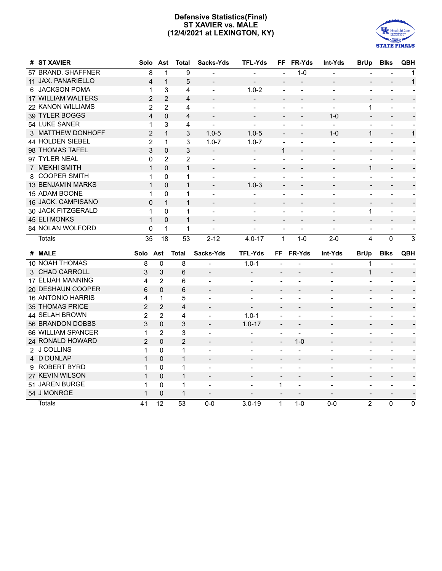# **Defensive Statistics(Final) ST XAVIER vs. MALE (12/4/2021 at LEXINGTON, KY)**



| # ST XAVIER              | Solo           | Ast            | <b>Total</b>   | Sacks-Yds                | <b>TFL-Yds</b>           |                              | FF FR-Yds                | Int-Yds                  | <b>BrUp</b>              | <b>Blks</b>              | QBH                      |
|--------------------------|----------------|----------------|----------------|--------------------------|--------------------------|------------------------------|--------------------------|--------------------------|--------------------------|--------------------------|--------------------------|
| 57 BRAND. SHAFFNER       | 8              | $\mathbf{1}$   | 9              |                          |                          |                              | $1 - 0$                  |                          |                          |                          | $\mathbf{1}$             |
| 11 JAX. PANARIELLO       | 4              | $\mathbf{1}$   | 5              | $\overline{a}$           |                          | $\overline{a}$               |                          |                          | $\overline{\phantom{a}}$ | $\overline{\phantom{a}}$ | $\mathbf{1}$             |
| 6 JACKSON POMA           | 1              | 3              | 4              | $\blacksquare$           | $1.0 - 2$                | $\overline{a}$               | $\overline{\phantom{a}}$ | $\blacksquare$           | $\blacksquare$           | $\blacksquare$           | $\sim$                   |
| 17 WILLIAM WALTERS       | $\overline{2}$ | $\overline{2}$ | 4              |                          | $\overline{\phantom{a}}$ | $\overline{\phantom{a}}$     | $\overline{\phantom{a}}$ | $\overline{\phantom{a}}$ | $\overline{\phantom{a}}$ | $\overline{\phantom{a}}$ |                          |
| 22 KANON WILLIAMS        | $\overline{2}$ | 2              | 4              | $\blacksquare$           | $\blacksquare$           | $\overline{a}$               | $\blacksquare$           | $\blacksquare$           | 1                        | $\overline{\phantom{a}}$ |                          |
| 39 TYLER BOGGS           | $\overline{4}$ | 0              | $\overline{4}$ |                          |                          |                              | $\overline{\phantom{a}}$ | $1 - 0$                  | $\overline{\phantom{a}}$ | $\overline{a}$           |                          |
| 54 LUKE SANER            | 1              | 3              | 4              | $\overline{a}$           | $\blacksquare$           | $\overline{a}$               | $\overline{\phantom{a}}$ | $\sim$                   | $\blacksquare$           | $\blacksquare$           |                          |
| 3 MATTHEW DONHOFF        | $\overline{2}$ | $\mathbf{1}$   | 3              | $1.0 - 5$                | $1.0 - 5$                | $\overline{\phantom{a}}$     | $\overline{\phantom{a}}$ | $1 - 0$                  | $\mathbf{1}$             | $\overline{\phantom{a}}$ | $\mathbf{1}$             |
| 44 HOLDEN SIEBEL         | $\overline{2}$ | $\mathbf{1}$   | 3              | $1.0 - 7$                | $1.0 - 7$                |                              | $\overline{a}$           |                          | $\overline{\phantom{a}}$ | $\blacksquare$           |                          |
| 98 THOMAS TAFEL          | 3              | 0              | 3              | $\overline{\phantom{a}}$ | $\sim$                   | $\mathbf{1}$                 | $\overline{\phantom{a}}$ | $\overline{\phantom{a}}$ | $\overline{\phantom{a}}$ | $\overline{\phantom{a}}$ | $\overline{\phantom{a}}$ |
| 97 TYLER NEAL            | 0              | 2              | $\overline{2}$ | $\overline{\phantom{a}}$ | $\overline{\phantom{a}}$ | $\blacksquare$               | $\overline{\phantom{a}}$ | $\overline{\phantom{a}}$ | $\overline{\phantom{a}}$ | $\overline{\phantom{a}}$ |                          |
| 7 MEKHI SMITH            | $\mathbf{1}$   | $\Omega$       | $\mathbf{1}$   |                          |                          |                              |                          |                          | 1                        | $\overline{\phantom{a}}$ |                          |
| 8 COOPER SMITH           | 1              | $\Omega$       | 1              | $\blacksquare$           | $\sim$                   | $\overline{\phantom{a}}$     |                          | $\overline{\phantom{a}}$ | $\overline{\phantom{a}}$ | $\overline{\phantom{a}}$ |                          |
| <b>13 BENJAMIN MARKS</b> | $\mathbf{1}$   | 0              | $\mathbf{1}$   |                          | $1.0 - 3$                |                              |                          |                          |                          | $\blacksquare$           |                          |
| 15 ADAM BOONE            | 1              | 0              | 1              |                          |                          |                              |                          |                          | $\overline{\phantom{a}}$ | $\overline{\phantom{a}}$ |                          |
| 16 JACK. CAMPISANO       | 0              | $\mathbf{1}$   | $\mathbf{1}$   |                          |                          |                              |                          |                          | $\qquad \qquad -$        | $\blacksquare$           |                          |
| 30 JACK FITZGERALD       | 1              | 0              | 1              | $\overline{\phantom{a}}$ | $\blacksquare$           | $\overline{a}$               |                          | $\overline{\phantom{a}}$ | 1                        | $\overline{\phantom{a}}$ | $\overline{\phantom{a}}$ |
| 45 ELI MONKS             | $\mathbf{1}$   | $\Omega$       | 1              | $\overline{\phantom{a}}$ | $\overline{\phantom{a}}$ | $\overline{\phantom{a}}$     | $\overline{\phantom{a}}$ | $\overline{\phantom{a}}$ | $\overline{\phantom{a}}$ | $\overline{\phantom{a}}$ | $\overline{\phantom{a}}$ |
| 84 NOLAN WOLFORD         | 0              | 1              | 1              | $\blacksquare$           | $\blacksquare$           | $\qquad \qquad \blacksquare$ | $\overline{\phantom{a}}$ | $\overline{\phantom{a}}$ | $\overline{\phantom{a}}$ | $\overline{\phantom{a}}$ | $\overline{\phantom{a}}$ |
|                          |                |                |                |                          |                          |                              |                          |                          |                          |                          |                          |
| <b>Totals</b>            | 35             | 18             | 53             | $2 - 12$                 | $4.0 - 17$               | 1                            | $1 - 0$                  | $2 - 0$                  | 4                        | $\pmb{0}$                | 3                        |
| # MALE                   | Solo Ast       |                | <b>Total</b>   | Sacks-Yds                | <b>TFL-Yds</b>           |                              | FF FR-Yds                | Int-Yds                  | <b>BrUp</b>              | <b>Blks</b>              | <b>QBH</b>               |
| <b>10 NOAH THOMAS</b>    | 8              | $\mathbf{0}$   | 8              |                          | $1.0 - 1$                |                              |                          |                          | $\mathbf{1}$             |                          |                          |
| 3 CHAD CARROLL           | 3              | 3              | 6              | $\overline{\phantom{a}}$ | $\blacksquare$           | $\overline{\phantom{a}}$     |                          | $\overline{\phantom{a}}$ | $\mathbf{1}$             | $\overline{\phantom{a}}$ |                          |
| 17 ELIJAH MANNING        | 4              | 2              | 6              | $\overline{\phantom{a}}$ | $\overline{\phantom{a}}$ | $\overline{\phantom{a}}$     | $\overline{a}$           | ÷                        | $\overline{a}$           | Ξ.                       |                          |
| 20 DESHAUN COOPER        | 6              | $\Omega$       | 6              | $\overline{\phantom{a}}$ | $\overline{\phantom{a}}$ | $\overline{\phantom{a}}$     |                          | $\overline{\phantom{0}}$ | $\overline{\phantom{m}}$ | $\overline{\phantom{a}}$ |                          |
| <b>16 ANTONIO HARRIS</b> | 4              | $\mathbf 1$    | 5              | $\overline{\phantom{a}}$ | $\blacksquare$           | $\overline{\phantom{a}}$     | ÷                        | $\overline{a}$           | $\overline{\phantom{a}}$ | $\overline{\phantom{a}}$ |                          |
| 35 THOMAS PRICE          | $\overline{2}$ | $\overline{2}$ | 4              |                          | $\overline{\phantom{a}}$ |                              |                          | $\overline{a}$           |                          |                          |                          |
| 44 SELAH BROWN           | $\overline{2}$ | $\overline{2}$ | 4              | $\overline{\phantom{a}}$ | $1.0 - 1$                | $\blacksquare$               | $\blacksquare$           | $\overline{\phantom{a}}$ | $\blacksquare$           | $\overline{\phantom{a}}$ |                          |
| 56 BRANDON DOBBS         | 3              | $\overline{0}$ | 3              | $\overline{\phantom{a}}$ | $1.0 - 17$               | $\overline{\phantom{a}}$     | $\overline{a}$           |                          |                          |                          |                          |
| 66 WILLIAM SPANCER       | $\mathbf{1}$   | $\overline{2}$ | 3              | $\overline{a}$           | $\blacksquare$           |                              | $\overline{a}$           |                          | $\blacksquare$           | $\blacksquare$           |                          |
| 24 RONALD HOWARD         | $\overline{2}$ | 0              | $\overline{2}$ | $\blacksquare$           | $\overline{\phantom{a}}$ | $\overline{\phantom{a}}$     | $1 - 0$                  | $\overline{\phantom{a}}$ | $\overline{\phantom{a}}$ | $\overline{\phantom{a}}$ |                          |
| 2 J COLLINS              | 1              | 0              | 1              | $\overline{\phantom{a}}$ | $\overline{\phantom{a}}$ | $\overline{\phantom{a}}$     | $\overline{\phantom{a}}$ | $\overline{\phantom{a}}$ | $\overline{\phantom{a}}$ | $\overline{\phantom{a}}$ | $\overline{\phantom{a}}$ |
| 4 D DUNLAP               | $\mathbf{1}$   | 0              | $\mathbf{1}$   |                          |                          | $\overline{\phantom{a}}$     | $\overline{\phantom{a}}$ | $\overline{\phantom{0}}$ | $\overline{\phantom{0}}$ | $\overline{\phantom{0}}$ |                          |
| 9 ROBERT BYRD            | 1              | $\Omega$       | 1              | $\blacksquare$           |                          |                              |                          | $\overline{\phantom{a}}$ | $\overline{\phantom{a}}$ | $\overline{\phantom{a}}$ |                          |
| 27 KEVIN WILSON          | $\mathbf{1}$   | $\overline{0}$ | $\mathbf{1}$   | $\sim$                   | $\blacksquare$           | $\sim$                       | $\overline{a}$           | $\overline{\phantom{0}}$ | $\overline{\phantom{a}}$ | $\overline{\phantom{a}}$ |                          |
| 51 JAREN BURGE           | 1              | 0              | 1              |                          |                          | 1                            | ÷                        | ÷                        |                          |                          |                          |
| 54 J MONROE              | $\mathbf{1}$   | 0              | $\mathbf{1}$   | $\overline{\phantom{a}}$ | $\blacksquare$           |                              |                          |                          | $\overline{\phantom{a}}$ | $\overline{\phantom{a}}$ |                          |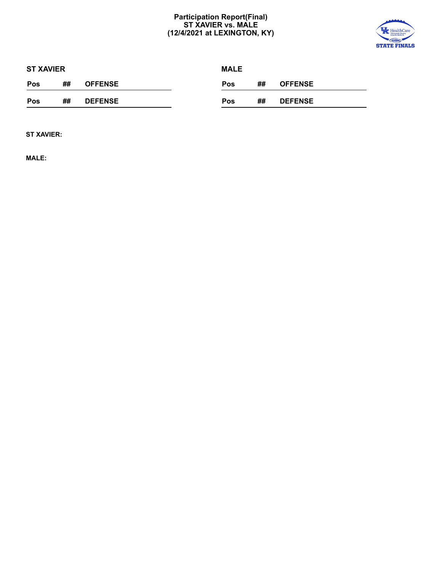# **Participation Report(Final) ST XAVIER vs. MALE (12/4/2021 at LEXINGTON, KY)**



|     | <b>ST XAVIER</b> |                |  | <b>MALE</b> |    |                |
|-----|------------------|----------------|--|-------------|----|----------------|
| Pos | ##               | <b>OFFENSE</b> |  | <b>Pos</b>  | ## | <b>OFFENSE</b> |
| Pos | ##               | <b>DEFENSE</b> |  | <b>Pos</b>  | ## | <b>DEFENSE</b> |

**ST XAVIER:**

**MALE:**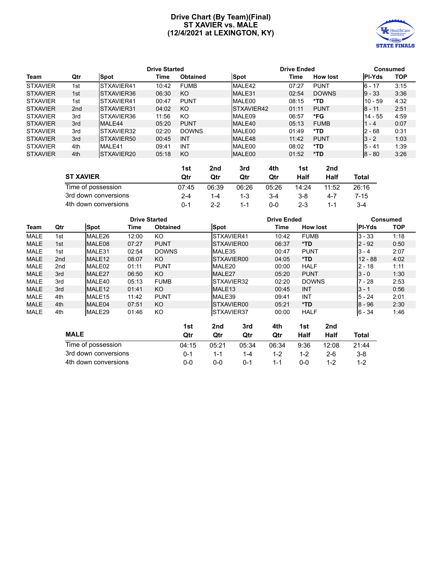# **Drive Chart (By Team)(Final) ST XAVIER vs. MALE (12/4/2021 at LEXINGTON, KY)**



|                 | <b>Drive Started</b> |                    |       |                 |     |             | <b>Drive Ended</b> | <b>Consumed</b> |                 |               |            |
|-----------------|----------------------|--------------------|-------|-----------------|-----|-------------|--------------------|-----------------|-----------------|---------------|------------|
| Team            | Qtr                  | <b>Spot</b>        | Time  | <b>Obtained</b> |     | <b>Spot</b> |                    | Time            | <b>How lost</b> | <b>PI-Yds</b> | <b>TOP</b> |
| <b>STXAVIER</b> | 1st                  | STXAVIER41         | 10:42 | <b>FUMB</b>     |     | MALE42      |                    | 07:27           | <b>PUNT</b>     | $6 - 17$      | 3:15       |
| <b>STXAVIER</b> | 1st                  | STXAVIER36         | 06:30 | KO              |     | MALE31      |                    | 02:54           | <b>DOWNS</b>    | $ 9 - 33 $    | 3:36       |
| <b>STXAVIER</b> | 1st                  | STXAVIER41         | 00:47 | <b>PUNT</b>     |     | MALE00      |                    | 08:15           | *TD             | $10 - 59$     | 4:32       |
| <b>STXAVIER</b> | 2nd                  | <b>ISTXAVIER31</b> | 04:02 | KO              |     | STXAVIER42  |                    | 01:11           | <b>PUNT</b>     | $8 - 11$      | 2:51       |
| <b>STXAVIER</b> | 3rd                  | STXAVIER36         | 11:56 | KO              |     | MALE09      |                    | 06:57           | *FG             | $14 - 55$     | 4:59       |
| <b>STXAVIER</b> | 3rd                  | MALE44             | 05:20 | <b>PUNT</b>     |     | MALE40      |                    | 05:13           | <b>FUMB</b>     | $1 - 4$       | 0:07       |
| <b>STXAVIER</b> | 3rd                  | <b>ISTXAVIER32</b> | 02:20 | <b>DOWNS</b>    |     | MALE00      |                    | 01:49           | *TD             | $2 - 68$      | 0:31       |
| <b>STXAVIER</b> | 3rd                  | STXAVIER50         | 00:45 | <b>INT</b>      |     | MALE48      |                    | 11:42           | <b>PUNT</b>     | $ 3 - 2 $     | 1:03       |
| <b>STXAVIER</b> | 4th                  | MALE41             | 09:41 | INT             |     | MALE00      |                    | 08:02           | *TD             | $5 - 41$      | 1:39       |
| <b>STXAVIER</b> | 4th                  | <b>ISTXAVIER20</b> | 05:18 | KO              |     | MALE00      |                    | 01:52           | *TD             | $8 - 80$      | 3:26       |
|                 |                      |                    |       |                 |     |             |                    |                 |                 |               |            |
|                 |                      |                    |       | 1st             | 2nd | 3rd         | 4th                | 1st             | 2nd             |               |            |
|                 |                      |                    |       |                 |     |             |                    |                 |                 |               |            |

| <b>ST XAVIER</b>     | Qtr   | Qtr   | Qtr     | Qtr   | Half    | Half    | Total |
|----------------------|-------|-------|---------|-------|---------|---------|-------|
| Time of possession   | 07:45 | 06:39 | 06:26   | 05:26 | 14:24   | 11:52   | 26:16 |
| 3rd down conversions | 2-4   | 1-4   | 1-3     | $3-4$ | 3-8     | 4-7     | 7-15  |
| 4th down conversions | በ-1   | 2-2   | $1 - 1$ | ი-ი   | $2 - 3$ | $1 - 1$ |       |

|             |                 |                    |       | <b>Drive Started</b> |     |                    | <b>Drive Ended</b> |       |                 |     | <b>Consumed</b> |            |  |
|-------------|-----------------|--------------------|-------|----------------------|-----|--------------------|--------------------|-------|-----------------|-----|-----------------|------------|--|
| Team        | Qtr             | <b>Spot</b>        | Time  | <b>Obtained</b>      |     | Spot               |                    | Time  | <b>How lost</b> |     | <b>PI-Yds</b>   | <b>TOP</b> |  |
| <b>MALE</b> | 1st             | MALE26             | 12:00 | KO                   |     | <b>ISTXAVIER41</b> |                    | 10:42 | <b>FUMB</b>     |     | $3 - 33$        | 1:18       |  |
| <b>MALE</b> | 1st             | MALE08             | 07:27 | <b>PUNT</b>          |     | <b>ISTXAVIER00</b> |                    | 06:37 | *TD             |     | $2 - 92$        | 0:50       |  |
| <b>MALE</b> | 1st             | MALE31             | 02:54 | <b>DOWNS</b>         |     | MALE35             |                    | 00:47 | <b>PUNT</b>     |     | $3 - 4$         | 2:07       |  |
| <b>MALE</b> | 2 <sub>nd</sub> | MALE <sub>12</sub> | 08:07 | KO.                  |     | <b>ISTXAVIER00</b> |                    | 04:05 | *TD             |     | $12 - 88$       | 4:02       |  |
| <b>MALE</b> | 2 <sub>nd</sub> | MALE <sub>02</sub> | 01:11 | <b>PUNT</b>          |     | MALE20             |                    | 00:00 | <b>HALF</b>     |     | $2 - 18$        | 1:11       |  |
| <b>MALE</b> | 3rd             | MALE27             | 06:50 | KO                   |     | MALE27             |                    | 05:20 | <b>PUNT</b>     |     | $3 - 0$         | 1:30       |  |
| <b>MALE</b> | 3rd             | MALE40             | 05:13 | <b>FUMB</b>          |     | <b>ISTXAVIER32</b> |                    | 02:20 | <b>DOWNS</b>    |     | $7 - 28$        | 2:53       |  |
| <b>MALE</b> | 3rd             | MALE <sub>12</sub> | 01:41 | KO.                  |     | MALE <sub>13</sub> |                    | 00:45 | <b>INT</b>      |     | $3 - 1$         | 0:56       |  |
| <b>MALE</b> | 4th             | MALE <sub>15</sub> | 11:42 | <b>PUNT</b>          |     | MALE39             |                    | 09:41 | INT             |     | $5 - 24$        | 2:01       |  |
| <b>MALE</b> | 4th             | MALE04             | 07:51 | KO                   |     | <b>ISTXAVIER00</b> |                    | 05:21 | *TD             |     | $8 - 96$        | 2:30       |  |
| <b>MALE</b> | 4th             | MALE29             | 01:46 | KO.                  |     | <b>ISTXAVIER37</b> |                    | 00:00 | <b>HALF</b>     |     | $6 - 34$        | 1:46       |  |
|             |                 |                    |       |                      | 1st | 2nd                | 3rd                | 4th   | 1st             | 2nd |                 |            |  |

|                      | 15 L    | zuu     | əru     | 44 U L  | 15 L    | zuu     |         |
|----------------------|---------|---------|---------|---------|---------|---------|---------|
| <b>MALE</b>          | Qtr     | Qtr     | Qtr     | Qtr     | Half    | Half    | Total   |
| Time of possession   | 04:15   | 05:21   | 05:34   | 06:34   | 9:36    | 12:08   | 21:44   |
| 3rd down conversions | $0 - 1$ | $1 - 1$ | $1 - 4$ | $1 - 2$ | $1 - 2$ | $2-6$   | $3-8$   |
| 4th down conversions | ი-ი     | ი-ი     | $0 - 1$ | 1-1     | ი-ი     | $1 - 2$ | $1 - 2$ |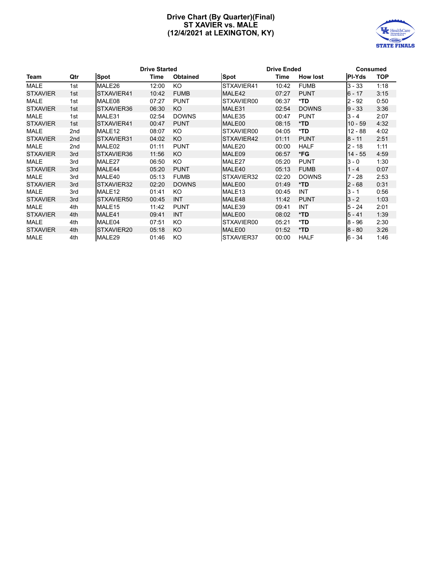# **Drive Chart (By Quarter)(Final) ST XAVIER vs. MALE (12/4/2021 at LEXINGTON, KY)**



|                 |     |                    | <b>Drive Started</b> |                 | <b>Drive Ended</b> |       | <b>Consumed</b> |               |            |
|-----------------|-----|--------------------|----------------------|-----------------|--------------------|-------|-----------------|---------------|------------|
| Team            | Qtr | <b>Spot</b>        | Time                 | <b>Obtained</b> | Spot               | Time  | <b>How lost</b> | <b>PI-Yds</b> | <b>TOP</b> |
| <b>MALE</b>     | 1st | MALE26             | 12:00                | KO.             | STXAVIER41         | 10:42 | <b>FUMB</b>     | $3 - 33$      | 1:18       |
| <b>STXAVIER</b> | 1st | STXAVIER41         | 10:42                | <b>FUMB</b>     | MALE42             | 07:27 | <b>PUNT</b>     | $6 - 17$      | 3:15       |
| <b>MALE</b>     | 1st | MALE08             | 07:27                | <b>PUNT</b>     | STXAVIER00         | 06:37 | *TD             | $2 - 92$      | 0:50       |
| <b>STXAVIER</b> | 1st | STXAVIER36         | 06:30                | KO              | MALE31             | 02:54 | <b>DOWNS</b>    | $9 - 33$      | 3:36       |
| <b>MALE</b>     | 1st | MALE31             | 02:54                | <b>DOWNS</b>    | MALE35             | 00:47 | <b>PUNT</b>     | $3 - 4$       | 2:07       |
| <b>STXAVIER</b> | 1st | STXAVIER41         | 00:47                | <b>PUNT</b>     | MALE00             | 08:15 | *TD             | $10 - 59$     | 4:32       |
| <b>MALE</b>     | 2nd | MALE <sub>12</sub> | 08:07                | KO.             | STXAVIER00         | 04:05 | *TD             | $12 - 88$     | 4:02       |
| <b>STXAVIER</b> | 2nd | STXAVIER31         | 04:02                | KO              | STXAVIER42         | 01:11 | <b>PUNT</b>     | 8 - 11        | 2:51       |
| <b>MALE</b>     | 2nd | MALE02             | 01:11                | <b>PUNT</b>     | MALE20             | 00:00 | <b>HALF</b>     | $2 - 18$      | 1:11       |
| <b>STXAVIER</b> | 3rd | ISTXAVIER36        | 11:56                | KO              | MALE09             | 06:57 | *FG             | $14 - 55$     | 4:59       |
| <b>MALE</b>     | 3rd | MALE27             | 06:50                | KO.             | MALE27             | 05:20 | <b>PUNT</b>     | $3 - 0$       | 1:30       |
| <b>STXAVIER</b> | 3rd | MALE44             | 05:20                | <b>PUNT</b>     | MALE40             | 05:13 | <b>FUMB</b>     | $1 - 4$       | 0:07       |
| <b>MALE</b>     | 3rd | MALE40             | 05:13                | <b>FUMB</b>     | STXAVIER32         | 02:20 | <b>DOWNS</b>    | 7 - 28        | 2:53       |
| <b>STXAVIER</b> | 3rd | STXAVIER32         | 02:20                | <b>DOWNS</b>    | MALE00             | 01:49 | *TD             | $2 - 68$      | 0:31       |
| <b>MALE</b>     | 3rd | MALE <sub>12</sub> | 01:41                | KO.             | MALE <sub>13</sub> | 00:45 | <b>INT</b>      | $3 - 1$       | 0:56       |
| <b>STXAVIER</b> | 3rd | STXAVIER50         | 00:45                | <b>INT</b>      | MALE48             | 11:42 | <b>PUNT</b>     | $3 - 2$       | 1:03       |
| <b>MALE</b>     | 4th | MALE <sub>15</sub> | 11:42                | <b>PUNT</b>     | MALE39             | 09:41 | <b>INT</b>      | $5 - 24$      | 2:01       |
| <b>STXAVIER</b> | 4th | MALE41             | 09:41                | <b>INT</b>      | MALE00             | 08:02 | *TD             | $5 - 41$      | 1:39       |
| <b>MALE</b>     | 4th | MALE04             | 07:51                | KO.             | STXAVIER00         | 05:21 | *TD             | $8 - 96$      | 2:30       |
| <b>STXAVIER</b> | 4th | ISTXAVIER20        | 05:18                | KO              | MALE00             | 01:52 | *TD             | $8 - 80$      | 3:26       |
| <b>MALE</b>     | 4th | MALE29             | 01:46                | KO              | STXAVIER37         | 00:00 | <b>HALF</b>     | $6 - 34$      | 1:46       |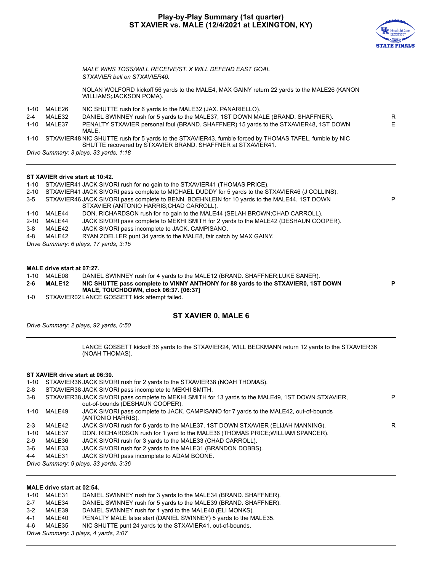# **Play-by-Play Summary (1st quarter) ST XAVIER vs. MALE (12/4/2021 at LEXINGTON, KY)**



E

P

*MALE WINS TOSS/WILL RECEIVE/ST. X WILL DEFEND EAST GOAL STXAVIER ball on STXAVIER40.* NOLAN WOLFORD kickoff 56 yards to the MALE4, MAX GAINY return 22 yards to the MALE26 (KANON WILLIAMS;JACKSON POMA). 1-10 MALE26 NIC SHUTTE rush for 6 yards to the MALE32 (JAX. PANARIELLO). 2-4 MALE32 DANIEL SWINNEY rush for 5 yards to the MALE37, 1ST DOWN MALE (BRAND. SHAFFNER). 1-10 MALE37 PENALTY STXAVIER personal foul (BRAND. SHAFFNER) 15 yards to the STXAVIER48, 1ST DOWN MALE.

1-10 STXAVIER48 NIC SHUTTE rush for 5 yards to the STXAVIER43, fumble forced by THOMAS TAFEL, fumble by NIC SHUTTE recovered by STXAVIER BRAND. SHAFFNER at STXAVIER41.

*Drive Summary: 3 plays, 33 yards, 1:18*

# **ST XAVIER drive start at 10:42.**

1-10 STXAVIER41 JACK SIVORI rush for no gain to the STXAVIER41 (THOMAS PRICE). 2-10 STXAVIER41 JACK SIVORI pass complete to MICHAEL DUDDY for 5 yards to the STXAVIER46 (J COLLINS). 3-5 STXAVIER46 JACK SIVORI pass complete to BENN. BOEHNLEIN for 10 yards to the MALE44, 1ST DOWN STXAVIER (ANTONIO HARRIS;CHAD CARROLL). 1-10 MALE44 DON. RICHARDSON rush for no gain to the MALE44 (SELAH BROWN;CHAD CARROLL). 2-10 MALE44 JACK SIVORI pass complete to MEKHI SMITH for 2 yards to the MALE42 (DESHAUN COOPER). 3-8 MALE42 JACK SIVORI pass incomplete to JACK. CAMPISANO. 4-8 MALE42 RYAN ZOELLER punt 34 yards to the MALE8, fair catch by MAX GAINY. *Drive Summary: 6 plays, 17 yards, 3:15*

# **MALE drive start at 07:27.**

1-10 MALE08 DANIEL SWINNEY rush for 4 yards to the MALE12 (BRAND. SHAFFNER;LUKE SANER). **2-6 MALE12 NIC SHUTTE pass complete to VINNY ANTHONY for 88 yards to the STXAVIER0, 1ST DOWN MALE, TOUCHDOWN, clock 06:37. [06:37] P**

1-0 STXAVIER02 LANCE GOSSETT kick attempt failed.

# **ST XAVIER 0, MALE 6**

*Drive Summary: 2 plays, 92 yards, 0:50*

LANCE GOSSETT kickoff 36 yards to the STXAVIER24, WILL BECKMANN return 12 yards to the STXAVIER36 (NOAH THOMAS).

# **ST XAVIER drive start at 06:30.**

- 1-10 STXAVIER36 JACK SIVORI rush for 2 yards to the STXAVIER38 (NOAH THOMAS).
- 2-8 STXAVIER38 JACK SIVORI pass incomplete to MEKHI SMITH.

| 3-8      |        | STXAVIER38 JACK SIVORI pass complete to MEKHI SMITH for 13 yards to the MALE49, 1ST DOWN STXAVIER,<br>out-of-bounds (DESHAUN COOPER). | P |
|----------|--------|---------------------------------------------------------------------------------------------------------------------------------------|---|
| 1-10     | MALE49 | JACK SIVORI pass complete to JACK. CAMPISANO for 7 yards to the MALE42, out-of-bounds<br>(ANTONIO HARRIS).                            |   |
| $2 - 3$  | MALE42 | JACK SIVORI rush for 5 yards to the MALE37, 1ST DOWN STXAVIER (ELIJAH MANNING).                                                       | R |
| $1 - 10$ | MALE37 | DON. RICHARDSON rush for 1 yard to the MALE36 (THOMAS PRICE; WILLIAM SPANCER).                                                        |   |
| $2-9$    | MALE36 | JACK SIVORI rush for 3 yards to the MALE33 (CHAD CARROLL).                                                                            |   |
| 3-6      | MALE33 | JACK SIVORI rush for 2 yards to the MALE31 (BRANDON DOBBS).                                                                           |   |
| 4-4      | MALE31 | JACK SIVORI pass incomplete to ADAM BOONE.                                                                                            |   |
|          |        | Drive Summary: 9 plays, 33 yards, 3:36                                                                                                |   |

# **MALE drive start at 02:54.**

- 1-10 MALE31 DANIEL SWINNEY rush for 3 yards to the MALE34 (BRAND. SHAFFNER).
- 2-7 MALE34 DANIEL SWINNEY rush for 5 yards to the MALE39 (BRAND. SHAFFNER).
- 3-2 MALE39 DANIEL SWINNEY rush for 1 yard to the MALE40 (ELI MONKS).
- 4-1 MALE40 PENALTY MALE false start (DANIEL SWINNEY) 5 yards to the MALE35.
- 4-6 MALE35 NIC SHUTTE punt 24 yards to the STXAVIER41, out-of-bounds.

*Drive Summary: 3 plays, 4 yards, 2:07*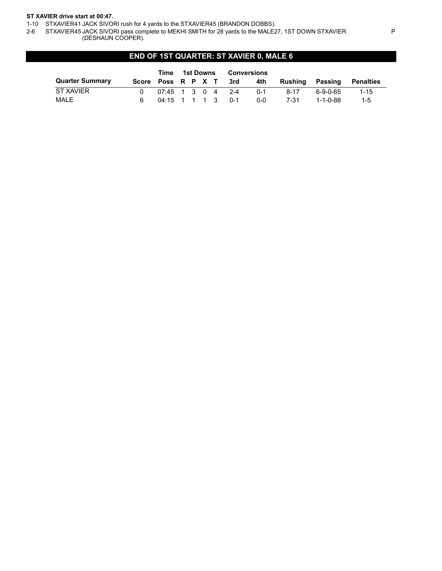# **ST XAVIER drive start at 00:47.**

1-10 STXAVIER41 JACK SIVORI rush for 4 yards to the STXAVIER45 (BRANDON DOBBS).

2-6 STXAVIER45 JACK SIVORI pass complete to MEKHI SMITH for 28 yards to the MALE27, 1ST DOWN STXAVIER (DESHAUN COOPER).

# **END OF 1ST QUARTER: ST XAVIER 0, MALE 6**

|                        |                    | Time 1st Downs      |  |  | Conversions |         |          |            |           |
|------------------------|--------------------|---------------------|--|--|-------------|---------|----------|------------|-----------|
| <b>Quarter Summary</b> | Score Poss R P X T |                     |  |  | 3rd         | 4th     | Rushina  | Passing    | Penalties |
| ST XAVIER              |                    | $07:45$ 1 3 0 4 2-4 |  |  |             | $0 - 1$ | $8 - 17$ | ٬ 6-9-0-65 | $1 - 15$  |
| MALE                   |                    | 04:15 1 1 1 3 0-1   |  |  |             | ი-ი     | 7-31     | 1-1-0-88   | $1 - 5$   |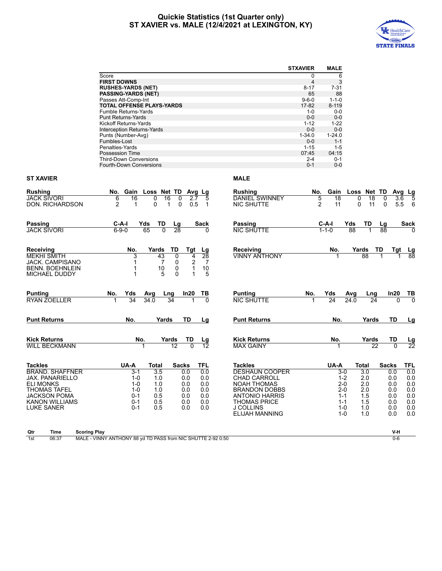# **Quickie Statistics (1st Quarter only) ST XAVIER vs. MALE (12/4/2021 at LEXINGTON, KY)**



|                                                                                                      |                                                              |                             |                                                                           |                          |                  |                                           | <b>STXAVIER</b>  | <b>MALE</b>            |                          |             |              |                      |                      |
|------------------------------------------------------------------------------------------------------|--------------------------------------------------------------|-----------------------------|---------------------------------------------------------------------------|--------------------------|------------------|-------------------------------------------|------------------|------------------------|--------------------------|-------------|--------------|----------------------|----------------------|
|                                                                                                      | Score                                                        |                             |                                                                           |                          |                  |                                           | 0                | 6                      |                          |             |              |                      |                      |
|                                                                                                      | <b>FIRST DOWNS</b>                                           |                             |                                                                           |                          |                  |                                           | 4                | 3                      |                          |             |              |                      |                      |
|                                                                                                      | <b>RUSHES-YARDS (NET)</b>                                    |                             |                                                                           |                          |                  |                                           | $8 - 17$         | $7 - 31$               |                          |             |              |                      |                      |
|                                                                                                      | <b>PASSING-YARDS (NET)</b>                                   |                             |                                                                           |                          |                  |                                           | 65               | 88                     |                          |             |              |                      |                      |
|                                                                                                      | Passes Att-Comp-Int                                          |                             |                                                                           |                          |                  |                                           | $9 - 6 - 0$      | $1 - 1 - 0$            |                          |             |              |                      |                      |
|                                                                                                      | <b>TOTAL OFFENSE PLAYS-YARDS</b>                             |                             |                                                                           |                          |                  |                                           | 17-82            | $8 - 119$              |                          |             |              |                      |                      |
|                                                                                                      | <b>Fumble Returns-Yards</b>                                  |                             |                                                                           |                          |                  |                                           | $1 - 0$<br>$0-0$ | $0-0$                  |                          |             |              |                      |                      |
|                                                                                                      | Punt Returns-Yards<br>Kickoff Returns-Yards                  |                             |                                                                           |                          |                  |                                           | $1 - 12$         | $0-0$<br>$1 - 22$      |                          |             |              |                      |                      |
|                                                                                                      | Interception Returns-Yards                                   |                             |                                                                           |                          |                  |                                           | $0 - 0$          | $0-0$                  |                          |             |              |                      |                      |
|                                                                                                      | Punts (Number-Avg)                                           |                             |                                                                           |                          |                  |                                           | $1 - 34.0$       | $1 - 24.0$             |                          |             |              |                      |                      |
|                                                                                                      | Fumbles-Lost                                                 |                             |                                                                           |                          |                  |                                           | $0-0$            | $1 - 1$                |                          |             |              |                      |                      |
|                                                                                                      | Penalties-Yards                                              |                             |                                                                           |                          |                  |                                           | $1 - 15$         | $1 - 5$                |                          |             |              |                      |                      |
|                                                                                                      | Possession Time                                              |                             |                                                                           |                          |                  |                                           | 07:45            | 04:15                  |                          |             |              |                      |                      |
|                                                                                                      | <b>Third-Down Conversions</b>                                |                             |                                                                           |                          |                  |                                           | $2 - 4$          | 0-1                    |                          |             |              |                      |                      |
|                                                                                                      | Fourth-Down Conversions                                      |                             |                                                                           |                          |                  |                                           | $0 - 1$          | $0-0$                  |                          |             |              |                      |                      |
| <b>ST XAVIER</b>                                                                                     |                                                              |                             |                                                                           |                          | <b>MALE</b>      |                                           |                  |                        |                          |             |              |                      |                      |
| <b>Rushing</b>                                                                                       | No.                                                          | Gain Loss Net TD            |                                                                           | Avg Lg                   | <b>Rushing</b>   |                                           | No.              | Gain                   |                          | Loss Net TD |              | Avg Lg               |                      |
| <b>JACK SIVORI</b>                                                                                   | 16<br>6                                                      | 0                           | 16<br>2.7<br>0                                                            | 5                        |                  | <b>DANIEL SWINNEY</b>                     |                  | 18<br>5                | 0                        | 18          | 0            | 3.6                  | $\overline{5}$       |
| <b>DON. RICHARDSON</b>                                                                               | $\overline{c}$<br>1                                          | $\Omega$                    | 0<br>0.5<br>1                                                             | 1                        |                  | <b>NIC SHUTTE</b>                         |                  | $\overline{c}$<br>11   | 0                        | 11          | 0            | 5.5                  | 6                    |
| Passing                                                                                              | C-A-I                                                        | Yds<br>TD                   | Lg                                                                        | Sack                     | Passing          |                                           |                  | C-A-I                  | Yds                      | TD          | Lg           |                      | Sack                 |
| <b>JACK SIVORI</b>                                                                                   | $6 - 9 - 0$                                                  | $\overline{0}$<br>65        | $\overline{28}$                                                           |                          |                  | <b>NIC SHUTTE</b>                         |                  | $1 - 1 - 0$            | 88                       |             | 88           |                      |                      |
| Receiving<br><b>MEKHI SMITH</b><br>JACK. CAMPISANO<br><b>BENN. BOEHNLEIN</b><br><b>MICHAEL DUDDY</b> | No.<br>3<br>1<br>1                                           | Yards<br>43<br>7<br>10<br>5 | TD<br>Tgt<br>0<br>4<br>$\overline{2}$<br>0<br>0<br>1<br>$\mathbf{0}$<br>1 | Lg<br>28<br>7<br>10<br>5 | Receiving        | <b>VINNY ANTHONY</b>                      |                  | No.<br>1               |                          | Yards<br>88 | TD           | Tgt                  | Lg                   |
| Puntina<br>RYAN ZOELLER                                                                              | No.<br>Yds<br>$\overline{34}$                                | Avg<br>34.0                 | In20<br>Lng<br>34                                                         | TВ<br><sup>0</sup>       | Puntina          | <b>NIC SHUTTE</b>                         | No.<br>1         | Yds<br>$\overline{24}$ | Avg<br>$\overline{24.0}$ | Lng<br>24   |              | In20<br><sup>0</sup> | TВ<br>$\overline{0}$ |
| <b>Punt Returns</b>                                                                                  | No.                                                          | Yards                       | TD                                                                        | Lg                       |                  | <b>Punt Returns</b>                       |                  | No.                    |                          | Yards       |              | TD                   | $lg$                 |
| Kick Returns                                                                                         | No.                                                          |                             | Yards<br>TD                                                               | Lg                       |                  | <b>Kick Returns</b>                       |                  | No.                    |                          | Yards       |              | TD                   | $\frac{Lg}{22}$      |
| <b>WILL BECKMANN</b>                                                                                 |                                                              |                             | 12                                                                        | 12                       |                  | <b>MAX GAINY</b>                          |                  |                        |                          | 22          |              | $\Omega$             |                      |
|                                                                                                      |                                                              |                             |                                                                           |                          |                  |                                           |                  |                        |                          |             |              |                      |                      |
| Tackles                                                                                              | UA-A                                                         | Total                       | <b>Sacks</b>                                                              | TFL                      | <b>Tackles</b>   |                                           |                  | UA-A                   |                          | Total       | <b>Sacks</b> |                      | TFL                  |
| <b>BRAND. SHAFFNER</b><br>JAX. PANARIELLO                                                            | $3 - 1$<br>$1 - 0$                                           | 3.5<br>1.0                  | 0.0<br>0.0                                                                | 0.0<br>0.0               |                  | <b>DESHAUN COOPER</b>                     |                  |                        | $3-0$<br>$1 - 2$         | 3.0<br>2.0  | 0.0          |                      | 0.0                  |
| <b>ELI MONKS</b>                                                                                     | $1 - 0$                                                      | 1.0                         | 0.0                                                                       | 0.0                      |                  | <b>CHAD CARROLL</b><br><b>NOAH THOMAS</b> |                  |                        | 2-0                      | 2.0         | 0.0<br>0.0   |                      | 0.0<br>0.0           |
| <b>THOMAS TAFEL</b>                                                                                  | $1 - 0$                                                      | 1.0                         | 0.0                                                                       | 0.0                      |                  | <b>BRANDON DOBBS</b>                      |                  |                        | $2 - 0$                  | 2.0         | 0.0          |                      | 0.0                  |
| JACKSON POMA                                                                                         | $0 - 1$                                                      | 0.5                         | 0.0                                                                       | 0.0                      |                  | <b>ANTONIO HARRIS</b>                     |                  |                        | $1 - 1$                  | 1.5         | 0.0          |                      | 0.0                  |
| KANON WILLIAMS                                                                                       | $0 - 1$                                                      | 0.5                         | 0.0                                                                       | 0.0                      |                  | <b>THOMAS PRICE</b>                       |                  |                        | $1 - 1$                  | 1.5         | 0.0          |                      | 0.0                  |
| LUKE SANER                                                                                           | $0 - 1$                                                      | 0.5                         | 0.0                                                                       | 0.0                      | <b>J COLLINS</b> |                                           |                  |                        | $1 - 0$                  | 1.0         | 0.0          |                      | 0.0                  |
|                                                                                                      |                                                              |                             |                                                                           |                          |                  | <b>ELIJAH MANNING</b>                     |                  |                        | $1 - 0$                  | 1.0         | 0.0          |                      | 0.0                  |
|                                                                                                      |                                                              |                             |                                                                           |                          |                  |                                           |                  |                        |                          |             |              |                      |                      |
| Qtr<br>Time<br><b>Scoring Play</b>                                                                   |                                                              |                             |                                                                           |                          |                  |                                           |                  |                        |                          |             |              | V-H                  |                      |
| 06:37<br>1st                                                                                         | MALE - VINNY ANTHONY 88 yd TD PASS from NIC SHUTTE 2-92 0:50 |                             |                                                                           |                          |                  |                                           |                  |                        |                          |             |              | $0 - 6$              |                      |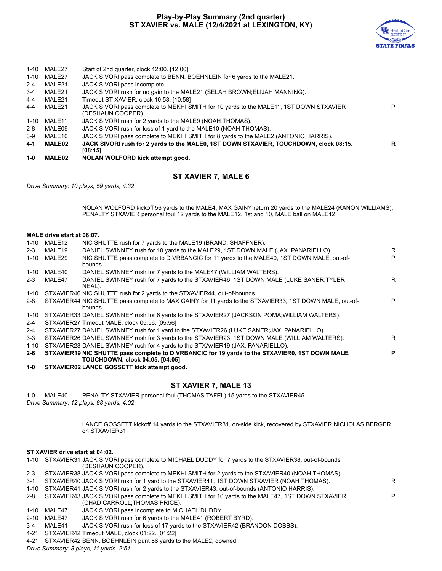# **Play-by-Play Summary (2nd quarter) ST XAVIER vs. MALE (12/4/2021 at LEXINGTON, KY)**



| $1 - 0$ | MALE02        | NOLAN WOLFORD kick attempt good.                                                                            |   |
|---------|---------------|-------------------------------------------------------------------------------------------------------------|---|
| 4-1     | <b>MALE02</b> | JACK SIVORI rush for 2 yards to the MALE0, 1ST DOWN STXAVIER, TOUCHDOWN, clock 08:15.<br>[08:15]            | R |
| $3-9$   | MALE10        | JACK SIVORI pass complete to MEKHI SMITH for 8 yards to the MALE2 (ANTONIO HARRIS).                         |   |
| $2 - 8$ | MALE09        | JACK SIVORI rush for loss of 1 yard to the MALE10 (NOAH THOMAS).                                            |   |
| 1-10    | MALE11        | JACK SIVORI rush for 2 yards to the MALE9 (NOAH THOMAS).                                                    |   |
| $4 - 4$ | MALE21        | JACK SIVORI pass complete to MEKHI SMITH for 10 yards to the MALE11, 1ST DOWN STXAVIER<br>(DESHAUN COOPER). |   |
| $4 - 4$ | MALE21        | Timeout ST XAVIER, clock 10:58. [10:58]                                                                     |   |
| $3 - 4$ | MALE21        | JACK SIVORI rush for no gain to the MALE21 (SELAH BROWN; ELIJAH MANNING).                                   |   |
| $2 - 4$ | MALE21        | JACK SIVORI pass incomplete.                                                                                |   |
| 1-10    | MALE27        | JACK SIVORI pass complete to BENN. BOEHNLEIN for 6 yards to the MALE21.                                     |   |
|         | 1-10 MALE27   | Start of 2nd quarter, clock 12:00. [12:00]                                                                  |   |
|         |               |                                                                                                             |   |

# **ST XAVIER 7, MALE 6**

*Drive Summary: 10 plays, 59 yards, 4:32*

NOLAN WOLFORD kickoff 56 yards to the MALE4, MAX GAINY return 20 yards to the MALE24 (KANON WILLIAMS), PENALTY STXAVIER personal foul 12 yards to the MALE12, 1st and 10, MALE ball on MALE12.

## **MALE drive start at 08:07.**

| 1-10     | MALE12 | NIC SHUTTE rush for 7 yards to the MALE19 (BRAND, SHAFFNER).                                                       |   |
|----------|--------|--------------------------------------------------------------------------------------------------------------------|---|
| $2 - 3$  | MALE19 | DANIEL SWINNEY rush for 10 yards to the MALE29, 1ST DOWN MALE (JAX. PANARIELLO).                                   | R |
| $1 - 10$ | MALE29 | NIC SHUTTE pass complete to D VRBANCIC for 11 yards to the MALE40, 1ST DOWN MALE, out-of-<br>bounds.               | P |
| $1 - 10$ | MALE40 | DANIEL SWINNEY rush for 7 yards to the MALE47 (WILLIAM WALTERS).                                                   |   |
| $2 - 3$  | MALE47 | DANIEL SWINNEY rush for 7 yards to the STXAVIER46, 1ST DOWN MALE (LUKE SANER;TYLER<br>NEAL).                       | R |
| $1 - 10$ |        | STXAVIER46 NIC SHUTTE rush for 2 yards to the STXAVIER44, out-of-bounds.                                           |   |
| $2 - 8$  |        | STXAVIER44 NIC SHUTTE pass complete to MAX GAINY for 11 yards to the STXAVIER33, 1ST DOWN MALE, out-of-<br>bounds. | P |
| 1-10     |        | STXAVIER33 DANIEL SWINNEY rush for 6 yards to the STXAVIER27 (JACKSON POMA; WILLIAM WALTERS).                      |   |
| $2 - 4$  |        | STXAVIER27 Timeout MALE, clock 05:56. [05:56]                                                                      |   |
| 2-4      |        | STXAVIER27 DANIEL SWINNEY rush for 1 yard to the STXAVIER26 (LUKE SANER: JAX. PANARIELLO).                         |   |
| $3 - 3$  |        | STXAVIER26 DANIEL SWINNEY rush for 3 yards to the STXAVIER23, 1ST DOWN MALE (WILLIAM WALTERS).                     | R |
| $1 - 10$ |        | STXAVIER23 DANIEL SWINNEY rush for 4 yards to the STXAVIER19 (JAX. PANARIELLO).                                    |   |
| $2 - 6$  |        | STXAVIER19 NIC SHUTTE pass complete to D VRBANCIC for 19 yards to the STXAVIER0, 1ST DOWN MALE,                    | P |
|          |        | <b>TOUCHDOWN, clock 04:05. [04:05]</b>                                                                             |   |

**1-0 STXAVIER02 LANCE GOSSETT kick attempt good.**

# **ST XAVIER 7, MALE 13**

1-0 MALE40 PENALTY STXAVIER personal foul (THOMAS TAFEL) 15 yards to the STXAVIER45. *Drive Summary: 12 plays, 88 yards, 4:02*

> LANCE GOSSETT kickoff 14 yards to the STXAVIER31, on-side kick, recovered by STXAVIER NICHOLAS BERGER on STXAVIER31.

# **ST XAVIER drive start at 04:02.**

- 1-10 STXAVIER31 JACK SIVORI pass complete to MICHAEL DUDDY for 7 yards to the STXAVIER38, out-of-bounds (DESHAUN COOPER).
- 2-3 STXAVIER38 JACK SIVORI pass complete to MEKHI SMITH for 2 yards to the STXAVIER40 (NOAH THOMAS).
- 3-1 STXAVIER40 JACK SIVORI rush for 1 yard to the STXAVIER41, 1ST DOWN STXAVIER (NOAH THOMAS).
- 1-10 STXAVIER41 JACK SIVORI rush for 2 yards to the STXAVIER43, out-of-bounds (ANTONIO HARRIS).
- 2-8 STXAVIER43 JACK SIVORI pass complete to MEKHI SMITH for 10 yards to the MALE47, 1ST DOWN STXAVIER (CHAD CARROLL;THOMAS PRICE). P
- 1-10 MALE47 JACK SIVORI pass incomplete to MICHAEL DUDDY.
- 2-10 MALE47 JACK SIVORI rush for 6 yards to the MALE41 (ROBERT BYRD).
- 3-4 MALE41 JACK SIVORI rush for loss of 17 yards to the STXAVIER42 (BRANDON DOBBS).
- 4-21 STXAVIER42 Timeout MALE, clock 01:22. [01:22]
- 4-21 STXAVIER42 BENN. BOEHNLEIN punt 56 yards to the MALE2, downed.

*Drive Summary: 8 plays, 11 yards, 2:51*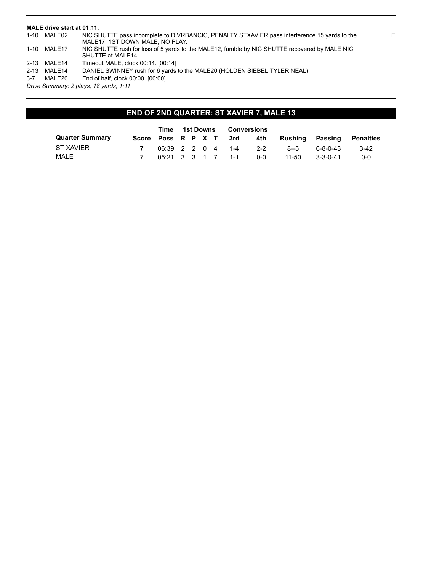# **MALE drive start at 01:11.**

| 1-10     | MALE02      | NIC SHUTTE pass incomplete to D VRBANCIC, PENALTY STXAVIER pass interference 15 yards to the<br>MALE17, 1ST DOWN MALE, NO PLAY. |
|----------|-------------|---------------------------------------------------------------------------------------------------------------------------------|
| 1-10     | MALE17      | NIC SHUTTE rush for loss of 5 yards to the MALE12, fumble by NIC SHUTTE recovered by MALE NIC<br>SHUTTE at MALE14.              |
|          | 2-13 MALE14 | Timeout MALE, clock 00:14. [00:14]                                                                                              |
| $2 - 13$ | MALE14      | DANIEL SWINNEY rush for 6 yards to the MALE20 (HOLDEN SIEBEL; TYLER NEAL).                                                      |
| $3 - 7$  | MALE20      | End of half, clock 00:00, [00:00]                                                                                               |
|          |             |                                                                                                                                 |

*Drive Summary: 2 plays, 18 yards, 1:11*

# **END OF 2ND QUARTER: ST XAVIER 7, MALE 13**

|                        |                        | Time 1st Downs       |  |  | Conversions       |         |         |                  |           |
|------------------------|------------------------|----------------------|--|--|-------------------|---------|---------|------------------|-----------|
| <b>Quarter Summary</b> | Score Poss R P X T 3rd |                      |  |  |                   | 4th     | Rushina | Passing          | Penalties |
| ST XAVIER              |                        |                      |  |  | 06:39 2 2 0 4 1-4 | $2 - 2$ | $8 - 5$ | $6 - 8 - 0 - 43$ | $3-42$    |
| MALE                   |                        | $0.5:21$ 3 3 1 7 1-1 |  |  |                   | 0-0     | 11-50   | 3-3-0-41         | $0 - 0$   |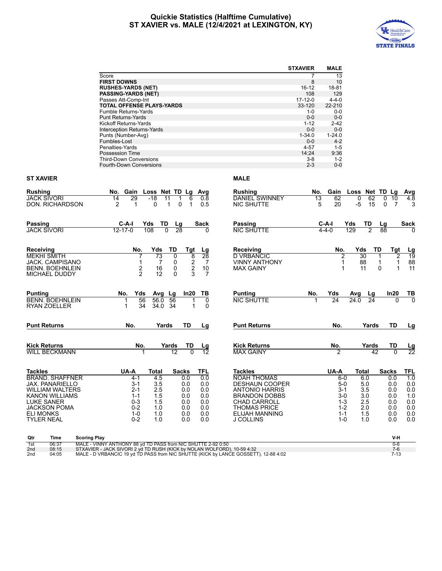# **Quickie Statistics (Halftime Cumulative) ST XAVIER vs. MALE (12/4/2021 at LEXINGTON, KY)**



|                                           |                                                                                                                                      | <b>STXAVIER</b>                               | <b>MALE</b>      |                         |                |                 |
|-------------------------------------------|--------------------------------------------------------------------------------------------------------------------------------------|-----------------------------------------------|------------------|-------------------------|----------------|-----------------|
|                                           | Score                                                                                                                                | 7                                             | 13               |                         |                |                 |
|                                           | <b>FIRST DOWNS</b>                                                                                                                   | 8                                             | 10               |                         |                |                 |
|                                           | <b>RUSHES-YARDS (NET)</b>                                                                                                            | 16-12                                         | 18-81            |                         |                |                 |
|                                           | <b>PASSING-YARDS (NET)</b>                                                                                                           | 108                                           | 129              |                         |                |                 |
|                                           | Passes Att-Comp-Int                                                                                                                  | $17 - 12 - 0$                                 | $4 - 4 - 0$      |                         |                |                 |
|                                           | <b>TOTAL OFFENSE PLAYS-YARDS</b>                                                                                                     | 33-120                                        | 22-210           |                         |                |                 |
|                                           | Fumble Returns-Yards                                                                                                                 | $1 - 0$                                       | $0-0$            |                         |                |                 |
|                                           | <b>Punt Returns-Yards</b>                                                                                                            | $0-0$                                         | $0-0$            |                         |                |                 |
|                                           | Kickoff Returns-Yards                                                                                                                | $1 - 12$                                      | $2 - 42$         |                         |                |                 |
|                                           | Interception Returns-Yards                                                                                                           | $0-0$                                         | $0-0$            |                         |                |                 |
|                                           | Punts (Number-Avg)                                                                                                                   | $1 - 34.0$                                    | $1 - 24.0$       |                         |                |                 |
|                                           | Fumbles-Lost                                                                                                                         | $0-0$                                         | $4 - 2$          |                         |                |                 |
|                                           | Penalties-Yards                                                                                                                      | $4 - 57$                                      | $1 - 5$          |                         |                |                 |
|                                           | <b>Possession Time</b>                                                                                                               | 14:24                                         | 9:36             |                         |                |                 |
|                                           | <b>Third-Down Conversions</b><br>Fourth-Down Conversions                                                                             | $3-8$<br>$2 - 3$                              | $1 - 2$<br>$0-0$ |                         |                |                 |
| <b>ST XAVIER</b>                          |                                                                                                                                      | <b>MALE</b>                                   |                  |                         |                |                 |
| Rushing                                   | No.<br>Gain Loss Net TD Lg<br>Avg                                                                                                    | Rushing<br>No.                                |                  | Gain Loss Net TD Lg     |                | <b>Avg</b>      |
| JACK SIVORI                               | -18<br>14<br>29<br>11<br>0.8<br>1<br>6                                                                                               | DANIEL SWINNEY<br>13                          | 62               | 0<br>62                 | 0<br>10        | 4.8             |
| DON. RICHARDSON                           | 2<br>$\mathbf{1}$<br>0<br>0<br>1<br>0.5<br>1                                                                                         | <b>NIC SHUTTE</b>                             | 20<br>5          | -5<br>15                | 0<br>7         | 3               |
| Passing                                   | C-A-I<br>TD<br>Sack<br>Yds<br>Lg                                                                                                     | Passing                                       | C-A-I            | Yds<br>TD               | Lg             | Sack            |
| <b>JACK SIVORI</b>                        | $12 - 17 - 0$<br>108<br>$\Omega$<br>28<br>0                                                                                          | <b>NIC SHUTTE</b>                             | $4 - 4 - 0$      | 129<br>$\overline{2}$   | 88             | <sup>0</sup>    |
|                                           |                                                                                                                                      |                                               |                  |                         |                |                 |
| Receiving                                 | TD<br>No.<br>Yds<br>Tgt<br><u>Lg</u>                                                                                                 | Receiving                                     | No.              | TD<br>Yds               | Tgt            |                 |
| <b>MEKHI SMITH</b>                        | 73<br>0<br>8<br>28<br>7                                                                                                              | <b>D VRBANCIC</b>                             | 2                | 30                      | 2              | $\frac{Lg}{19}$ |
| JACK. CAMPISANO                           | 2<br>7<br>0<br>7<br>1                                                                                                                | <b>VINNY ANTHONY</b>                          | 1                | 88<br>1                 | 1              | 88              |
| <b>BENN. BOEHNLEIN</b>                    | 2<br>2<br>0<br>10<br>16                                                                                                              | <b>MAX GAINY</b>                              | 1                | 11<br>0                 | 1              | 11              |
| <b>MICHAEL DUDDY</b>                      | $\overline{2}$<br>3<br>$\Omega$<br>12<br>7                                                                                           |                                               |                  |                         |                |                 |
| Punting                                   | No.<br>Yds<br>Avg Lg<br>In20<br>ТВ                                                                                                   | <b>Punting</b><br>No.                         | Yds              |                         | In20           |                 |
| <b>BENN. BOEHNLEIN</b>                    | 56<br>56.0<br>56<br>0                                                                                                                | <b>NIC SHUTTE</b>                             | 24               | Avg<br>Lg<br>24.0<br>24 | 0              | TВ<br>ក         |
| <b>RYAN ZOELLER</b>                       | 34<br>34.0<br>34<br>1<br>1<br>0                                                                                                      |                                               |                  |                         |                |                 |
|                                           |                                                                                                                                      |                                               |                  |                         |                |                 |
| <b>Punt Returns</b>                       | No.<br>Yards<br>TD<br>Lg                                                                                                             | <b>Punt Returns</b>                           | No.              | Yards                   | TD             | Lg              |
| <b>Kick Returns</b>                       | No.<br>Yards<br>TD<br>Lg                                                                                                             | <b>Kick Returns</b>                           | No.              | Yards                   | TD             | Lg              |
| <b>WILL BECKMANN</b>                      | 12<br>$\Omega$<br>12                                                                                                                 | <b>MAX GAINY</b>                              | 2                | 42                      | $\Omega$       | $\overline{22}$ |
|                                           |                                                                                                                                      |                                               |                  |                         |                |                 |
| Tackles<br><b>BRAND. SHAFFNER</b>         | UA-A<br><b>TFL</b><br>Total<br><b>Sacks</b>                                                                                          | <b>Tackles</b><br><b>NOAH THOMAS</b>          | UA-A             | Total                   | <b>Sacks</b>   | <b>TFL</b>      |
|                                           | 0.0<br>4-1<br>4.5<br>0.0<br>3-1<br>0.0                                                                                               |                                               | 6-0<br>$5-0$     | 6.0                     | 0.0            | 1.0             |
| JAX. PANARIELLO<br><b>WILLIAM WALTERS</b> | 3.5<br>0.0<br>2.5<br>$2 - 1$<br>0.0<br>0.0                                                                                           | <b>DESHAUN COOPER</b>                         | 3-1              | 5.0<br>3.5              | 0.0<br>0.0     | 0.0<br>0.0      |
| <b>KANON WILLIAMS</b>                     | $1 - 1$<br>1.5<br>0.0<br>0.0                                                                                                         | <b>ANTONIO HARRIS</b><br><b>BRANDON DOBBS</b> | $3-0$            | 3.0                     | 0.0            | 1.0             |
| <b>LUKE SANER</b>                         | $0-3$<br>1.5<br>0.0<br>0.0                                                                                                           | <b>CHAD CARROLL</b>                           | $1 - 3$          | 2.5                     | 0.0            | 0.0             |
| <b>JACKSON POMA</b>                       | $0 - 2$<br>1.0<br>0.0<br>0.0                                                                                                         | <b>THOMAS PRICE</b>                           | $1 - 2$          | 2.0                     | 0.0            | 0.0             |
| ELI MONKS                                 | 0.0<br>1-0<br>1.0<br>0.0                                                                                                             | <b>ELIJAH MANNING</b>                         | $1 - 1$          | 1.5                     | 0.0            | 0.0             |
| TYLER NEAL                                | $0 - 2$<br>1.0<br>0.0<br>0.0                                                                                                         | <b>J COLLINS</b>                              | $1 - 0$          | 1.0                     | 0.0            | 0.0             |
|                                           |                                                                                                                                      |                                               |                  |                         |                |                 |
| <b>Scoring Play</b><br>Qtr<br>Time        |                                                                                                                                      |                                               |                  |                         | V-H            |                 |
| 06:37<br>1st<br>0.8.15<br>2nd             | MALE - VINNY ANTHONY 88 vd TD PASS from NIC SHUTTE 2-92 0:50<br>STYAVIER . IACK SIVORL2 W TD RUSH (KICK by NOLAN WOLFORD) 10.59 4:32 |                                               |                  |                         | $0 - 6$<br>7.R |                 |

2nd 08:15 STXAVIER - JACK SIVORI 2 yd TD RUSH (KICK by NOLAN WOLFORD), 10-59 4:32<br>2nd 04:05 MALE - D VRBANCIC 19 yd TD PASS from NIC SHUTTE (KICK by LANCE GOSSETT), 12-88 4:02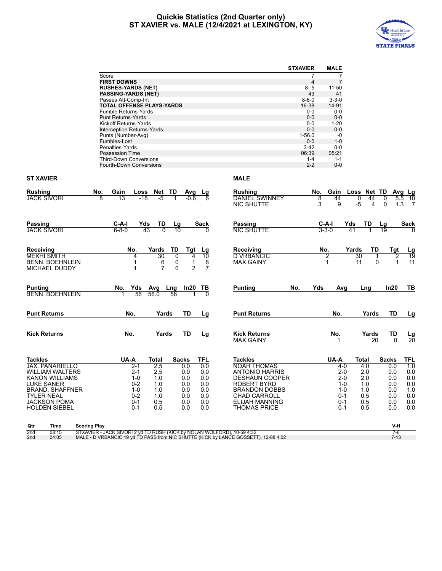# **Quickie Statistics (2nd Quarter only) ST XAVIER vs. MALE (12/4/2021 at LEXINGTON, KY)**



|                                    |                                                   |                |                     |                |                       | <b>STXAVIER</b>   | <b>MALE</b>       |             |       |              |                 |
|------------------------------------|---------------------------------------------------|----------------|---------------------|----------------|-----------------------|-------------------|-------------------|-------------|-------|--------------|-----------------|
|                                    | Score                                             |                |                     |                |                       | 7                 | $\overline{7}$    |             |       |              |                 |
|                                    | <b>FIRST DOWNS</b>                                |                |                     |                |                       | 4                 | $\overline{7}$    |             |       |              |                 |
|                                    | <b>RUSHES-YARDS (NET)</b>                         |                |                     |                |                       | $8 - 5$           | $11 - 50$         |             |       |              |                 |
|                                    | <b>PASSING-YARDS (NET)</b><br>Passes Att-Comp-Int |                |                     |                |                       | 43<br>$8 - 6 - 0$ | 41<br>$3 - 3 - 0$ |             |       |              |                 |
|                                    | <b>TOTAL OFFENSE PLAYS-YARDS</b>                  |                |                     |                |                       | 16-38             | 14-91             |             |       |              |                 |
|                                    | Fumble Returns-Yards                              |                |                     |                |                       | $0-0$             | $0-0$             |             |       |              |                 |
|                                    | <b>Punt Returns-Yards</b>                         |                |                     |                |                       | $0-0$             | $0-0$             |             |       |              |                 |
|                                    | Kickoff Returns-Yards                             |                |                     |                |                       | $0-0$             | $1 - 20$          |             |       |              |                 |
|                                    | Interception Returns-Yards                        |                |                     |                |                       | $0-0$             | $0-0$             |             |       |              |                 |
|                                    | Punts (Number-Avg)                                |                |                     |                |                       | $1 - 56.0$        | $-0$              |             |       |              |                 |
|                                    | Fumbles-Lost                                      |                |                     |                |                       | $0-0$             | $1 - 0$           |             |       |              |                 |
|                                    | Penalties-Yards                                   |                |                     |                |                       | $3-42$            | $0 - 0$           |             |       |              |                 |
|                                    | Possession Time                                   |                |                     |                |                       | 06:39             | 05:21             |             |       |              |                 |
|                                    | <b>Third-Down Conversions</b>                     |                |                     |                |                       | $1 - 4$           | $1 - 1$           |             |       |              |                 |
|                                    | Fourth-Down Conversions                           |                |                     |                |                       | $2 - 2$           | $0-0$             |             |       |              |                 |
| <b>ST XAVIER</b>                   |                                                   |                |                     |                | <b>MALE</b>           |                   |                   |             |       |              |                 |
| Rushing<br>No.                     | Gain<br>Loss                                      | Net TD         |                     |                | <b>Rushing</b>        | No.               | Gain              | Loss Net TD |       |              |                 |
| <b>JACK SIVORI</b>                 | 13<br>$-18$<br>8                                  | $-5$           | Avg<br>-0.6         | Lg             | <b>DANIEL SWINNEY</b> | 8                 | 44                | 0           | 44    | 0<br>5.5     | Avg Lg<br>10    |
|                                    |                                                   |                |                     |                | <b>NIC SHUTTE</b>     | 3                 | 9                 | -5          | 4     | 1.3<br>0     | -7              |
|                                    |                                                   |                |                     |                |                       |                   |                   |             |       |              |                 |
| Passing                            | C-A-I<br>Yds                                      | TD             | Lg                  | Sack           | Passing               |                   | C-A-I             | Yds         | TD    | Lg           | Sack            |
| <b>JACK SIVORI</b>                 | $6 - 8 - 0$                                       | 43             | 10                  |                | <b>NIC SHUTTE</b>     |                   | $3 - 3 - 0$       | 41          |       | 19           |                 |
|                                    |                                                   |                |                     |                |                       |                   |                   |             |       |              |                 |
| Receiving                          | No.                                               | Yards          | TD<br><b>Tgt</b>    | Lg             | Receiving             |                   | No.               | Yards       | TD    | Tgt          | <u>Lg</u>       |
| <b>MEKHI SMITH</b>                 | 4                                                 | 30             | 0<br>4              | 10             | <b>D VRBANCIC</b>     |                   | 2                 | 30          | 1     | 2            | $\overline{19}$ |
| <b>BENN. BOEHNLEIN</b>             | $\mathbf{1}$                                      | 6              | 0<br>1              | 6              | <b>MAX GAINY</b>      |                   | 1                 | 11          | 0     | $\mathbf{1}$ | 11              |
| <b>MICHAEL DUDDY</b>               | 1                                                 | $\overline{7}$ | 0<br>$\overline{2}$ | $\overline{7}$ |                       |                   |                   |             |       |              |                 |
|                                    |                                                   |                |                     |                |                       |                   |                   |             |       |              |                 |
| <b>Punting</b>                     | Yds<br>No.                                        | Avg            | Lng<br>In20         | TВ             | <b>Punting</b><br>No. | Yds               | Avg               |             | Lng   | In20         | TВ              |
| <b>BENN. BOEHNLEIN</b>             | 56                                                | 56.0           | 56                  |                |                       |                   |                   |             |       |              |                 |
| <b>Punt Returns</b>                | No.                                               | Yards          | TD                  | Lg             | <b>Punt Returns</b>   |                   | No.               |             | Yards | TD           | Lg              |
|                                    |                                                   |                |                     |                |                       |                   |                   |             |       |              |                 |
| <b>Kick Returns</b>                | No.                                               | Yards          | TD                  | <u>Lg</u>      | <b>Kick Returns</b>   |                   | No.               |             | Yards | TD           | <u>Lg</u>       |
|                                    |                                                   |                |                     |                | <b>MAX GAINY</b>      |                   |                   |             | 20    | $\Omega$     | $\overline{20}$ |
|                                    |                                                   |                |                     |                |                       |                   |                   |             |       |              |                 |
| <b>Tackles</b>                     | UA-A                                              | <b>Total</b>   | <b>Sacks</b>        | TFL            | <b>Tackles</b>        |                   | UA-A              | Total       |       | <b>Sacks</b> | TFL             |
| <b>JAX. PANARIELLO</b>             | $2-1$                                             | 2.5            | 0.0                 | 0.0            | <b>NOAH THOMAS</b>    |                   | $4 - 0$           | 4.0         |       | 0.0          | 1.0             |
| <b>WILLIAM WALTERS</b>             | $2 - 1$                                           | 2.5            | 0.0                 | 0.0            | <b>ANTONIO HARRIS</b> |                   | $2 - 0$           | 2.0         |       | 0.0          | 0.0             |
| <b>KANON WILLIAMS</b>              | $1 - 0$                                           | 1.0            | 0.0                 | 0.0            | <b>DESHAUN COOPER</b> |                   | $2 - 0$           | 2.0         |       | 0.0          | 0.0             |
| <b>LUKE SANER</b>                  | $0 - 2$                                           | 1.0            | 0.0                 | 0.0            | <b>ROBERT BYRD</b>    |                   | $1 - 0$           | 1.0         |       | 0.0          | 0.0             |
| <b>BRAND, SHAFFNER</b>             | $1 - 0$                                           | 1.0            | 0.0                 | 0.0            | <b>BRANDON DOBBS</b>  |                   | $1 - 0$           | 1.0         |       | 0.0          | 1.0             |
| <b>TYLER NEAL</b>                  | $0 - 2$                                           | 1.0            | 0.0                 | 0.0            | <b>CHAD CARROLL</b>   |                   | $0 - 1$           | 0.5         |       | 0.0          | 0.0             |
| <b>JACKSON POMA</b>                | $0 - 1$                                           | 0.5            | 0.0                 | 0.0            | <b>ELIJAH MANNING</b> |                   | $0 - 1$           | 0.5         |       | 0.0          | 0.0             |
| <b>HOLDEN SIEBEL</b>               | $0 - 1$                                           | 0.5            | 0.0                 | 0.0            | <b>THOMAS PRICE</b>   |                   | $0 - 1$           | 0.5         |       | 0.0          | 0.0             |
|                                    |                                                   |                |                     |                |                       |                   |                   |             |       |              |                 |
| Qtr<br><b>Scoring Play</b><br>Time |                                                   |                |                     |                |                       |                   |                   |             |       | V-H          |                 |

2nd 08:15 STXAVIER - JACK SIVORI 2 yd TD RUSH (KICK by NOLAN WOLFORD), 10-59 4:32<br>2nd 04:05 MALE - D VRBANCIC 19 yd TD PASS from NIC SHUTTE (KICK by LANCE GOSSETT), 12-88 4:02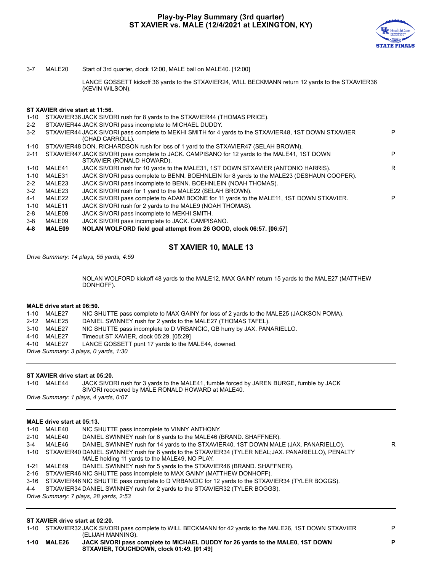

3-7 MALE20 Start of 3rd quarter, clock 12:00, MALE ball on MALE40. [12:00]

LANCE GOSSETT kickoff 36 yards to the STXAVIER24, WILL BECKMANN return 12 yards to the STXAVIER36 (KEVIN WILSON).

## **ST XAVIER drive start at 11:56.**

- 1-10 STXAVIER36 JACK SIVORI rush for 8 yards to the STXAVIER44 (THOMAS PRICE).
- 2-2 STXAVIER44 JACK SIVORI pass incomplete to MICHAEL DUDDY.

| $3-2$    |               | STXAVIER44 JACK SIVORI pass complete to MEKHI SMITH for 4 yards to the STXAVIER48, 1ST DOWN STXAVIER<br>(CHAD CARROLL).   | P |
|----------|---------------|---------------------------------------------------------------------------------------------------------------------------|---|
| $1 - 10$ |               | STXAVIER48 DON. RICHARDSON rush for loss of 1 yard to the STXAVIER47 (SELAH BROWN).                                       |   |
| $2 - 11$ |               | STXAVIER47 JACK SIVORI pass complete to JACK. CAMPISANO for 12 yards to the MALE41, 1ST DOWN<br>STXAVIER (RONALD HOWARD). | P |
| $1 - 10$ | MALE41        | JACK SIVORI rush for 10 yards to the MALE31, 1ST DOWN STXAVIER (ANTONIO HARRIS).                                          | R |
| $1 - 10$ | MALE31        | JACK SIVORI pass complete to BENN. BOEHNLEIN for 8 yards to the MALE23 (DESHAUN COOPER).                                  |   |
| $2 - 2$  | MALE23        | JACK SIVORI pass incomplete to BENN. BOEHNLEIN (NOAH THOMAS).                                                             |   |
| $3-2$    | MALE23        | JACK SIVORI rush for 1 yard to the MALE22 (SELAH BROWN).                                                                  |   |
| 4-1      | MALE22        | JACK SIVORI pass complete to ADAM BOONE for 11 yards to the MALE11, 1ST DOWN STXAVIER.                                    | P |
| $1 - 10$ | MALE11        | JACK SIVORI rush for 2 yards to the MALE9 (NOAH THOMAS).                                                                  |   |
| $2 - 8$  | MALE09        | JACK SIVORI pass incomplete to MEKHI SMITH.                                                                               |   |
| 3-8      | MALE09        | JACK SIVORI pass incomplete to JACK. CAMPISANO.                                                                           |   |
| 4-8      | <b>MALE09</b> | NOLAN WOLFORD field goal attempt from 26 GOOD, clock 06:57. [06:57]                                                       |   |

# **ST XAVIER 10, MALE 13**

*Drive Summary: 14 plays, 55 yards, 4:59*

NOLAN WOLFORD kickoff 48 yards to the MALE12, MAX GAINY return 15 yards to the MALE27 (MATTHEW DONHOFF).

### **MALE drive start at 06:50.**

1-10 MALE27 NIC SHUTTE pass complete to MAX GAINY for loss of 2 yards to the MALE25 (JACKSON POMA).

- 2-12 MALE25 DANIEL SWINNEY rush for 2 yards to the MALE27 (THOMAS TAFEL).
- 3-10 MALE27 NIC SHUTTE pass incomplete to D VRBANCIC, QB hurry by JAX. PANARIELLO.
- 4-10 MALE27 Timeout ST XAVIER, clock 05:29. [05:29]
- 4-10 MALE27 LANCE GOSSETT punt 17 yards to the MALE44, downed.
- *Drive Summary: 3 plays, 0 yards, 1:30*

# **ST XAVIER drive start at 05:20.**

1-10 MALE44 JACK SIVORI rush for 3 yards to the MALE41, fumble forced by JAREN BURGE, fumble by JACK SIVORI recovered by MALE RONALD HOWARD at MALE40.

*Drive Summary: 1 plays, 4 yards, 0:07*

# **MALE drive start at 05:13.**

|         | 1-10 MALE40 | NIC SHUTTE pass incomplete to VINNY ANTHONY.                                                                                                              |    |
|---------|-------------|-----------------------------------------------------------------------------------------------------------------------------------------------------------|----|
|         | 2-10 MALE40 | DANIEL SWINNEY rush for 6 yards to the MALE46 (BRAND, SHAFFNER).                                                                                          |    |
| $3 - 4$ | MALE46      | DANIEL SWINNEY rush for 14 yards to the STXAVIER40, 1ST DOWN MALE (JAX. PANARIELLO).                                                                      | R. |
|         |             | 1-10 STXAVIER40 DANIEL SWINNEY rush for 6 yards to the STXAVIER34 (TYLER NEAL; JAX. PANARIELLO), PENALTY<br>MALE holding 11 yards to the MALE49, NO PLAY. |    |
|         | 1-21 MALE49 | DANIEL SWINNEY rush for 5 yards to the STXAVIER46 (BRAND. SHAFFNER).                                                                                      |    |
|         |             | 2-16 STXAVIER46 NIC SHUTTE pass incomplete to MAX GAINY (MATTHEW DONHOFF).                                                                                |    |
|         |             | 3-16 STXAVIER46 NIC SHUTTE pass complete to D VRBANCIC for 12 yards to the STXAVIER34 (TYLER BOGGS).                                                      |    |
| 4-4     |             | STXAVIER34 DANIEL SWINNEY rush for 2 yards to the STXAVIER32 (TYLER BOGGS).                                                                               |    |
|         |             | Drive Summary: 7 plays, 28 yards, 2:53                                                                                                                    |    |
|         |             |                                                                                                                                                           |    |

# **ST XAVIER drive start at 02:20.**

1-10 STXAVIER32 JACK SIVORI pass complete to WILL BECKMANN for 42 yards to the MALE26, 1ST DOWN STXAVIER (ELIJAH MANNING).

**1-10 MALE26 JACK SIVORI pass complete to MICHAEL DUDDY for 26 yards to the MALE0, 1ST DOWN STXAVIER, TOUCHDOWN, clock 01:49. [01:49]**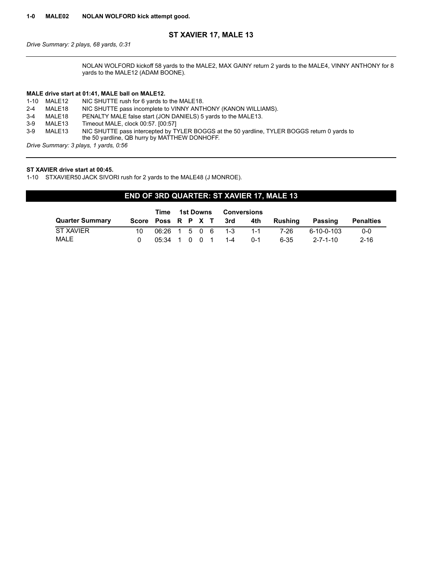# **ST XAVIER 17, MALE 13**

*Drive Summary: 2 plays, 68 yards, 0:31*

NOLAN WOLFORD kickoff 58 yards to the MALE2, MAX GAINY return 2 yards to the MALE4, VINNY ANTHONY for 8 yards to the MALE12 (ADAM BOONE).

# **MALE drive start at 01:41, MALE ball on MALE12.**

|         | 1-10 MALE12                              | NIC SHUTTE rush for 6 yards to the MALE18.                                                   |  |  |  |  |  |
|---------|------------------------------------------|----------------------------------------------------------------------------------------------|--|--|--|--|--|
| $2 - 4$ | MALE18                                   | NIC SHUTTE pass incomplete to VINNY ANTHONY (KANON WILLIAMS).                                |  |  |  |  |  |
| $3-4$   | MALE18                                   | PENALTY MALE false start (JON DANIELS) 5 yards to the MALE13.                                |  |  |  |  |  |
| $3-9$   | MALE13                                   | Timeout MALE, clock 00:57. [00:57]                                                           |  |  |  |  |  |
| $3-9$   | MALE13                                   | NIC SHUTTE pass intercepted by TYLER BOGGS at the 50 yardline, TYLER BOGGS return 0 yards to |  |  |  |  |  |
|         |                                          | the 50 yardline, QB hurry by MATTHEW DONHOFF.                                                |  |  |  |  |  |
|         | Dubis Organización de la calendaria Orgo |                                                                                              |  |  |  |  |  |

*Drive Summary: 3 plays, 1 yards, 0:56*

# **ST XAVIER drive start at 00:45.**

1-10 STXAVIER50 JACK SIVORI rush for 2 yards to the MALE48 (J MONROE).

# **END OF 3RD QUARTER: ST XAVIER 17, MALE 13**

|                        |     | Time                  |  |  | 1st Downs Conversions  |         |         |            |                  |
|------------------------|-----|-----------------------|--|--|------------------------|---------|---------|------------|------------------|
| <b>Quarter Summary</b> |     |                       |  |  | Score Poss R P X T 3rd | 4th     | Rushina | Passing    | <b>Penalties</b> |
| ST XAVIER              | 10. |                       |  |  | 06:26 1 5 0 6 1-3      | - 1 - 1 | 7-26    | 6-10-0-103 | $0 - 0$          |
| MALE                   |     | $0.5:34$ 1 0 0 1 1 -4 |  |  |                        | $0 - 1$ | 6-35    | 2-7-1-10   | $2 - 16$         |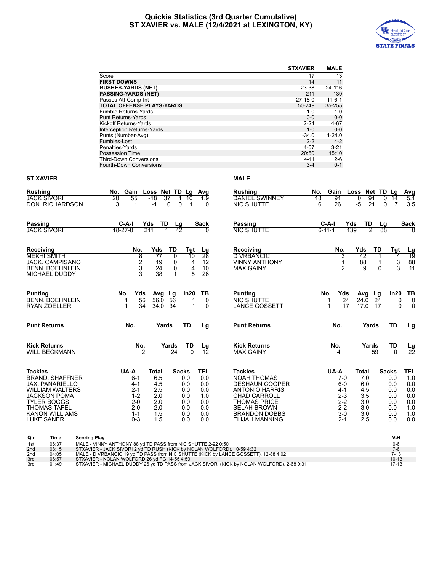# **Quickie Statistics (3rd Quarter Cumulative) ST XAVIER vs. MALE (12/4/2021 at LEXINGTON, KY)**



|                        |                 |                                                                                                                                                                |                      |                                      | <b>STXAVIER</b> | <b>MALE</b>         |                       |                     |                      |
|------------------------|-----------------|----------------------------------------------------------------------------------------------------------------------------------------------------------------|----------------------|--------------------------------------|-----------------|---------------------|-----------------------|---------------------|----------------------|
|                        |                 | Score                                                                                                                                                          |                      |                                      | 17              | 13                  |                       |                     |                      |
|                        |                 | <b>FIRST DOWNS</b>                                                                                                                                             |                      |                                      | 14              | 11                  |                       |                     |                      |
|                        |                 | <b>RUSHES-YARDS (NET)</b>                                                                                                                                      |                      |                                      | 23-38           | 24-116              |                       |                     |                      |
|                        |                 | <b>PASSING-YARDS (NET)</b>                                                                                                                                     |                      |                                      | 211             | 139                 |                       |                     |                      |
|                        |                 | Passes Att-Comp-Int                                                                                                                                            |                      |                                      | $27-18-0$       | $11 - 6 - 1$        |                       |                     |                      |
|                        |                 | TOTAL OFFENSE PLAYS-YARDS                                                                                                                                      |                      |                                      | 50-249          | 35-255<br>$1 - 0$   |                       |                     |                      |
|                        |                 | Fumble Returns-Yards<br><b>Punt Returns-Yards</b>                                                                                                              |                      |                                      | 1-0<br>$0-0$    | $0-0$               |                       |                     |                      |
|                        |                 | Kickoff Returns-Yards                                                                                                                                          |                      |                                      | $2 - 24$        | 4-67                |                       |                     |                      |
|                        |                 | Interception Returns-Yards                                                                                                                                     |                      |                                      | $1 - 0$         | $0-0$               |                       |                     |                      |
|                        |                 | Punts (Number-Avg)                                                                                                                                             |                      |                                      | $1 - 34.0$      | $1 - 24.0$          |                       |                     |                      |
|                        |                 | Fumbles-Lost                                                                                                                                                   |                      |                                      | $2 - 2$         | $4 - 2$             |                       |                     |                      |
|                        |                 | Penalties-Yards                                                                                                                                                |                      |                                      | $4 - 57$        | $3 - 21$            |                       |                     |                      |
|                        |                 | Possession Time                                                                                                                                                |                      |                                      | 20:50           | 15:10               |                       |                     |                      |
|                        |                 | <b>Third-Down Conversions</b>                                                                                                                                  |                      |                                      | 4-11            | $2 - 6$             |                       |                     |                      |
|                        |                 | Fourth-Down Conversions                                                                                                                                        |                      |                                      | $3 - 4$         | $0 - 1$             |                       |                     |                      |
| ST XAVIER              |                 |                                                                                                                                                                |                      | <b>MALE</b>                          |                 |                     |                       |                     |                      |
|                        |                 |                                                                                                                                                                |                      |                                      |                 |                     |                       |                     |                      |
| Rushing<br>JACK SIVORI |                 | No. Gain Loss Net TD Lg Avg                                                                                                                                    |                      | Rushing                              | No.             | Gain Loss Net TD Lg |                       | 0                   | Avg                  |
|                        | DON. RICHARDSON | 37<br>20<br>55<br>-18<br>1<br>3<br>$-1$<br>0<br>0<br>$\mathbf{1}$                                                                                              | 10<br>1.9<br>-1<br>0 | DANIEL SWINNEY<br>NIC SHUTTE         | 18              | 91<br>26<br>6       | 0<br>91<br>-5<br>21   | 14<br>0<br>7        | 5.1<br>3.5           |
|                        |                 |                                                                                                                                                                |                      |                                      |                 |                     |                       |                     |                      |
| Passing                |                 | C-A-I<br>Yds<br>TD                                                                                                                                             | Sack                 | Passing                              |                 | C-A-I               | TD<br>Yds             |                     | Sack                 |
| JACK SIVORI            |                 | Lg<br>18-27-0<br>211<br>42                                                                                                                                     | 0                    | <b>NIC SHUTTE</b>                    |                 | $6 - 11 - 1$        | 139<br>$\overline{c}$ | Lg<br>88            | $\Omega$             |
|                        |                 |                                                                                                                                                                |                      |                                      |                 |                     |                       |                     |                      |
| Receiving              |                 | No.<br>Yds<br>TD                                                                                                                                               | Tgt<br>Lg            | Receiving                            |                 | No.                 | Yds                   | TD<br>Tgt           |                      |
| MEKHI SMITH            |                 | 8<br>77<br>0                                                                                                                                                   | 28<br>10             | D VRBANCIC                           |                 | 3                   | 42                    |                     | $\frac{Lg}{19}$<br>4 |
|                        | JACK. CAMPISANO | 2<br>19<br>0                                                                                                                                                   | 4<br>12              | <b>VINNY ANTHONY</b>                 |                 | 1                   | 88                    | 1                   | 3<br>88              |
|                        | BENN. BOEHNLEIN | 3<br>24<br>0                                                                                                                                                   | 4<br>10              | MAX GAINY                            |                 | 2                   | 9                     | 0                   | 3<br>11              |
|                        | MICHAEL DUDDY   | 3<br>38<br>$\mathbf 1$                                                                                                                                         | 5<br>26              |                                      |                 |                     |                       |                     |                      |
|                        |                 |                                                                                                                                                                |                      |                                      |                 |                     |                       |                     |                      |
| <b>Punting</b>         |                 | Avg Lg<br>No.<br>Yds                                                                                                                                           | In20<br>ΤВ           | <b>Punting</b>                       |                 | No.<br>Yds          | Avg Lg                | In20                | TB                   |
|                        | BENN. BOEHNLEIN | 56<br>56<br>56.0<br>1                                                                                                                                          | 0                    | <b>NIC SHUTTE</b>                    |                 | 24<br>1             | 24.0                  | 24                  | 0<br>0               |
|                        | RYAN ZOELLER    | 34<br>34.0 34<br>1                                                                                                                                             | 0<br>1               | <b>LANCE GOSSETT</b>                 |                 | 17<br>1             | 17.0                  | - 17                | 0<br>0               |
| Punt Returns           |                 | No.<br>Yards<br>TD                                                                                                                                             | Lg                   | <b>Punt Returns</b>                  |                 | No.                 | Yards                 | TD                  | <u>Lg</u>            |
|                        |                 |                                                                                                                                                                |                      |                                      |                 |                     |                       |                     |                      |
| Kick Returns           |                 | No.<br>Yards                                                                                                                                                   | TD<br>Lg             | <b>Kick Returns</b>                  |                 | No.                 | Yards                 | TD                  | <u>Lg</u>            |
|                        | WILL BECKMANN   | 2<br>24                                                                                                                                                        | $\Omega$<br>12       | <b>MAX GAINY</b>                     |                 | 4                   |                       | 59<br>0             | 22                   |
|                        |                 |                                                                                                                                                                |                      |                                      |                 |                     |                       |                     |                      |
| Tackles                | BRAND. SHAFFNER | UA-A<br><b>Sacks</b><br>Total<br>6.5<br>0.0<br>6-1                                                                                                             | TFL<br>0.0           | <b>Tackles</b><br><b>NOAH THOMAS</b> |                 | UA-A<br>7-0         | Total<br>7.0          | <b>Sacks</b><br>0.0 | <b>TFL</b><br>1.0    |
|                        | JAX. PANARIELLO | 4.5<br>4-1<br>0.0                                                                                                                                              | 0.0                  | <b>DESHAUN COOPER</b>                |                 | 6-0                 | 6.0                   | 0.0                 | 0.0                  |
|                        | WILLIAM WALTERS | $2 - 1$<br>2.5<br>0.0                                                                                                                                          | 0.0                  | <b>ANTONIO HARRIS</b>                |                 | 4-1                 | 4.5                   | 0.0                 | 0.0                  |
|                        | JACKSON POMA    | $1 - 2$<br>2.0<br>0.0                                                                                                                                          | 1.0                  | <b>CHAD CARROLL</b>                  |                 | $2 - 3$             | 3.5                   | 0.0                 | 0.0                  |
|                        | TYLER BOGGS     | $2 - 0$<br>2.0<br>0.0                                                                                                                                          | 0.0                  | <b>THOMAS PRICE</b>                  |                 | $2 - 2$             | 3.0                   | 0.0                 | 0.0                  |
|                        | THOMAS TAFEL    | $2 - 0$<br>2.0<br>0.0                                                                                                                                          | 0.0                  | <b>SELAH BROWN</b>                   |                 | $2 - 2$             | 3.0                   | 0.0                 | 1.0                  |
|                        | KANON WILLIAMS  | $1 - 1$<br>1.5<br>0.0                                                                                                                                          | 0.0                  | <b>BRANDON DOBBS</b>                 |                 | $3-0$               | 3.0                   | 0.0                 | 1.0                  |
| LUKE SANER             |                 | $0 - 3$<br>1.5<br>0.0                                                                                                                                          | 0.0                  | ELIJAH MANNING                       |                 | 2-1                 | 2.5                   | 0.0                 | 0.0                  |
| Qtr                    | Time            | <b>Scoring Play</b>                                                                                                                                            |                      |                                      |                 |                     |                       | V-H                 |                      |
| 1st                    | 06:37           | MALE - VINNY ANTHONY 88 yd TD PASS from NIC SHUTTE 2-92 0:50                                                                                                   |                      |                                      |                 |                     |                       | $0 - 6$             |                      |
| 2nd                    | 08:15<br>04:05  | STXAVIER - JACK SIVORI 2 yd TD RUSH (KICK by NOLAN WOLFORD), 10-59 4:32<br>MALE - D VRBANCIC 19 yd TD PASS from NIC SHUTTE (KICK by LANCE GOSSETT), 12-88 4:02 |                      |                                      |                 |                     |                       | $7-6$<br>$7 - 13$   |                      |
| 2nd<br>3rd             | 06:57           | STXAVIER - NOLAN WOLFORD 26 yd FG 14-55 4:59                                                                                                                   |                      |                                      |                 |                     |                       | $10 - 13$           |                      |
| 3rd                    | 01:49           | STXAVIER - MICHAEL DUDDY 26 yd TD PASS from JACK SIVORI (KICK by NOLAN WOLFORD), 2-68 0:31                                                                     |                      |                                      |                 |                     |                       | $17 - 13$           |                      |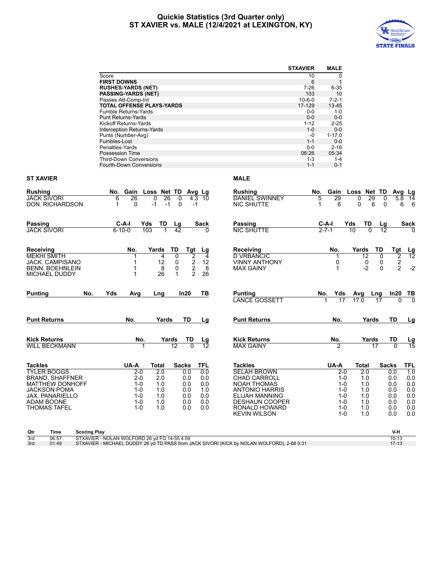# **Quickie Statistics (3rd Quarter only) ST XAVIER vs. MALE (12/4/2021 at LEXINGTON, KY)**



|                                    |                                                          |              |                              |       |                                                                                            | <b>STXAVIER</b>    | <b>MALE</b>                 |                    |                 |                         |                       |
|------------------------------------|----------------------------------------------------------|--------------|------------------------------|-------|--------------------------------------------------------------------------------------------|--------------------|-----------------------------|--------------------|-----------------|-------------------------|-----------------------|
|                                    | Score                                                    |              |                              |       |                                                                                            | 10                 | 0                           |                    |                 |                         |                       |
|                                    | <b>FIRST DOWNS</b>                                       |              |                              |       |                                                                                            | 6                  | $\mathbf{1}$                |                    |                 |                         |                       |
|                                    | <b>RUSHES-YARDS (NET)</b>                                |              |                              |       |                                                                                            | 7-26               | $6 - 35$                    |                    |                 |                         |                       |
|                                    | <b>PASSING-YARDS (NET)</b>                               |              |                              |       |                                                                                            | 103                | 10                          |                    |                 |                         |                       |
|                                    | Passes Att-Comp-Int                                      |              |                              |       |                                                                                            | $10 - 6 - 0$       | $7 - 2 - 1$                 |                    |                 |                         |                       |
|                                    | <b>TOTAL OFFENSE PLAYS-YARDS</b>                         |              |                              |       |                                                                                            | 17-129             | 13-45                       |                    |                 |                         |                       |
|                                    | Fumble Returns-Yards                                     |              |                              |       |                                                                                            | 0-0                | $1 - 0$                     |                    |                 |                         |                       |
|                                    | <b>Punt Returns-Yards</b>                                |              |                              |       |                                                                                            | $0-0$              | $0-0$                       |                    |                 |                         |                       |
|                                    | Kickoff Returns-Yards                                    |              |                              |       |                                                                                            | $1 - 12$           | $2 - 25$                    |                    |                 |                         |                       |
|                                    | Interception Returns-Yards                               |              |                              |       |                                                                                            | $1 - 0$            | $0-0$                       |                    |                 |                         |                       |
|                                    | Punts (Number-Avg)                                       |              |                              |       |                                                                                            | -0                 | $1 - 17.0$                  |                    |                 |                         |                       |
|                                    | Fumbles-Lost                                             |              |                              |       |                                                                                            | $1 - 1$            | $0-0$                       |                    |                 |                         |                       |
|                                    | Penalties-Yards                                          |              |                              |       |                                                                                            | $0-0$              | $2 - 16$                    |                    |                 |                         |                       |
|                                    | Possession Time                                          |              |                              |       |                                                                                            | 06:26              | 05:34                       |                    |                 |                         |                       |
|                                    | <b>Third-Down Conversions</b><br>Fourth-Down Conversions |              |                              |       |                                                                                            | $1 - 3$<br>$1 - 1$ | $1 - 4$<br>$0 - 1$          |                    |                 |                         |                       |
| ST XAVIER                          |                                                          |              |                              |       | <b>MALE</b>                                                                                |                    |                             |                    |                 |                         |                       |
| Rushing                            | No. Gain Loss Net TD Avg Lg                              |              |                              |       | Rushing                                                                                    | No.                | Gain                        | Loss Net TD Avg Lg |                 |                         |                       |
| JACK SIVORI                        | 26<br>6                                                  | 0<br>26      | 0                            | 43 10 | <b>DANIEL SWINNEY</b>                                                                      | 5                  | 29                          | 0                  | 29<br>0         |                         | 5.8 14                |
| DON. RICHARDSON                    | 0<br>1                                                   | -1<br>-1     | 0                            | -1    | NIC SHUTTE                                                                                 | -1                 | 6                           | 0                  | 6<br>0          | 6                       | 6                     |
| Passing                            | C-A-I                                                    | Yds<br>TD    |                              | Sack  | Passing                                                                                    |                    |                             | Yds<br>TD          |                 |                         |                       |
| JACK SIVORI                        | $6 - 10 - 0$                                             | 103          | Lg<br>$\overline{42}$        | 0     | <b>NIC SHUTTE</b>                                                                          |                    | <u>C-A-I</u><br>$2 - 7 - 1$ | $\overline{10}$    | $\frac{Lg}{12}$ |                         | Sack                  |
|                                    |                                                          |              |                              |       |                                                                                            |                    |                             |                    |                 |                         |                       |
| Receiving                          | No.                                                      | Yards<br>TD  | Tgt                          | Lg    | <b>Receiving</b>                                                                           |                    | No.                         | Yards              | TD              | Tgt                     |                       |
| MEKHI SMITH                        |                                                          | 4            | 2<br>0                       | 4     | <b>D VRBANCIC</b>                                                                          |                    |                             | 12                 | 0               | 2                       | $\frac{Lg}{12}$       |
| JACK. CAMPISANO                    | 1                                                        | 12           | 2<br>0                       | 12    | <b>VINNY ANTHONY</b>                                                                       |                    | 0                           | 0                  | 0               | $\overline{\mathbf{c}}$ |                       |
| BENN. BOEHNLEIN                    | -1                                                       | 8            | $\overline{\mathbf{c}}$<br>0 | 8     | MAX GAINY                                                                                  |                    | 1                           | -2                 | $\Omega$        | $\overline{2}$          | $-2$                  |
| MICHAEL DUDDY                      | -1                                                       | 26           | $\overline{2}$<br>1          | 26    |                                                                                            |                    |                             |                    |                 |                         |                       |
| <b>Punting</b><br>No.              | Yds<br>Avg                                               | Lng          | In20                         | ΤВ    | <b>Punting</b><br><b>LANCE GOSSETT</b>                                                     |                    | Yds<br>No.<br>17            | Avg<br>17.0        | Lng<br>17       | ln20<br>0               | <u>TB</u><br>$\Omega$ |
|                                    |                                                          |              |                              |       |                                                                                            |                    |                             |                    |                 |                         |                       |
| Punt Returns                       | No.                                                      | Yards        | TD                           | Lg    | <b>Punt Returns</b>                                                                        |                    | No.                         |                    | Yards           | TD                      | <u>Lg</u>             |
| Kick Returns                       | No.                                                      | Yards        | TD                           | Lg    | <b>Kick Returns</b>                                                                        |                    | No.                         |                    | Yards           | TD                      | Lg                    |
| WILL BECKMANN                      |                                                          | 12           |                              | 12    | <b>MAX GAINY</b>                                                                           |                    |                             |                    | 17              |                         | $\overline{15}$       |
| Tackles                            | UA-A                                                     | <b>Total</b> | Sacks                        | TFL   | Tackles                                                                                    |                    | UA-A                        | Total              |                 | <b>Sacks</b>            | <b>TFL</b>            |
| TYLER BOGGS                        | $2 - 0$                                                  | 2.0          | 0.0                          | 0.0   | <b>SELAH BROWN</b>                                                                         |                    | $2 - 0$                     | 2.0                |                 | 0.0                     | 1.0                   |
| BRAND. SHAFFNER                    | $2-0$                                                    | 2.0          | 0.0                          | 0.0   | <b>CHAD CARROLL</b>                                                                        |                    | $1 - 0$                     | 1.0                |                 | 0.0                     | 0.0                   |
| MATTHEW DONHOFF                    | $1 - 0$                                                  | 1.0          | 0.0                          | 0.0   | <b>NOAH THOMAS</b>                                                                         |                    | 1-0                         | 1.0                |                 | 0.0                     | 0.0                   |
| <b>JACKSON POMA</b>                | $1 - 0$                                                  | 1.0          | 0.0                          | 1.0   | <b>ANTONIO HARRIS</b>                                                                      |                    | $1-0$                       | 1.0                |                 | 0.0                     | 0.0                   |
| JAX. PANARIELLO                    | 1-0                                                      | 1.0          | 0.0                          | 0.0   | ELIJAH MANNING                                                                             |                    | 1-0                         | 1.0                |                 | 0.0                     | 0.0                   |
| ADAM BOONE                         | 1-0                                                      | 1.0          | 0.0                          | 0.0   | <b>DESHAUN COOPER</b>                                                                      |                    | 1-0                         | 1.0                |                 | 0.0                     | 0.0                   |
| THOMAS TAFEL                       | $1 - 0$                                                  | 1.0          | 0.0                          | 0.0   | RONALD HOWARD<br><b>KEVIN WILSON</b>                                                       |                    | $1 - 0$<br>$1 - 0$          | 1.0<br>1.0         |                 | 0.0<br>0.0              | 0.0<br>0.0            |
| <b>Scoring Play</b><br>Qtr<br>Time |                                                          |              |                              |       |                                                                                            |                    |                             |                    |                 | V-H                     |                       |
| 06:57<br>3rd                       | STXAVIER - NOLAN WOLFORD 26 yd FG 14-55 4:59             |              |                              |       |                                                                                            |                    |                             |                    |                 | $10 - 13$               |                       |
| 01:49<br>3rd                       |                                                          |              |                              |       | STXAVIER - MICHAEL DUDDY 26 yd TD PASS from JACK SIVORI (KICK by NOLAN WOLFORD), 2-68 0:31 |                    |                             |                    |                 | $17-13$                 |                       |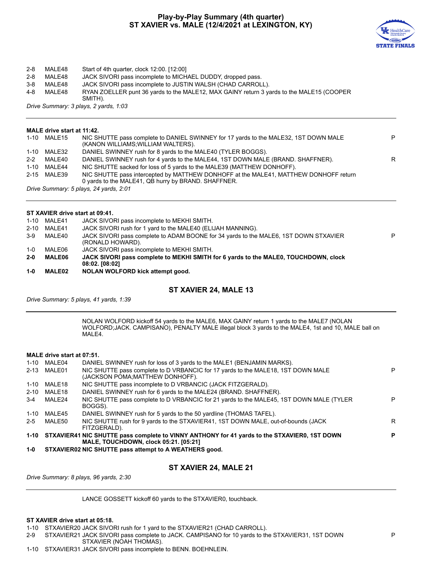# **Play-by-Play Summary (4th quarter) ST XAVIER vs. MALE (12/4/2021 at LEXINGTON, KY)**



# 2-8 MALE48 Start of 4th quarter, clock 12:00. [12:00]

2-8 MALE48 JACK SIVORI pass incomplete to MICHAEL DUDDY, dropped pass.<br>3-8 MALE48 JACK SIVORI pass incomplete to JUSTIN WALSH (CHAD CARROL

3-8 MALE48 JACK SIVORI pass incomplete to JUSTIN WALSH (CHAD CARROLL).<br>4-8 MALE48 RYAN ZOELLER punt 36 vards to the MALE12. MAX GAINY return 3 va

4-8 MALE48 RYAN ZOELLER punt 36 yards to the MALE12, MAX GAINY return 3 yards to the MALE15 (COOPER SMITH).

*Drive Summary: 3 plays, 2 yards, 1:03*

# **MALE drive start at 11:42.**

| 1-10 MALE15 | NIC SHUTTE pass complete to DANIEL SWINNEY for 17 yards to the MALE32, 1ST DOWN MALE<br>(KANON WILLIAMS; WILLIAM WALTERS).                  | P |
|-------------|---------------------------------------------------------------------------------------------------------------------------------------------|---|
| 1-10 MALE32 | DANIEL SWINNEY rush for 8 yards to the MALE40 (TYLER BOGGS).                                                                                |   |
| 2-2 MALE40  | DANIEL SWINNEY rush for 4 yards to the MALE44, 1ST DOWN MALE (BRAND, SHAFFNER).                                                             | R |
| 1-10 MALE44 | NIC SHUTTE sacked for loss of 5 yards to the MALE39 (MATTHEW DONHOFF).                                                                      |   |
| 2-15 MALE39 | NIC SHUTTE pass intercepted by MATTHEW DONHOFF at the MALE41, MATTHEW DONHOFF return<br>0 yards to the MALE41, QB hurry by BRAND. SHAFFNER. |   |
|             | Drive Summary: 5 plays, 24 yards, 2:01                                                                                                      |   |

# **ST XAVIER drive start at 09:41.**

|          | 1-10 MALE41   | JACK SIVORI pass incomplete to MEKHI SMITH.                                                              |   |
|----------|---------------|----------------------------------------------------------------------------------------------------------|---|
| $2 - 10$ | MALE41        | JACK SIVORI rush for 1 yard to the MALE40 (ELIJAH MANNING).                                              |   |
| $3-9$    | MALE40        | JACK SIVORI pass complete to ADAM BOONE for 34 yards to the MALE6, 1ST DOWN STXAVIER<br>(RONALD HOWARD). | P |
| $1 - 0$  | MALE06        | JACK SIVORI pass incomplete to MEKHI SMITH.                                                              |   |
| $2 - 0$  | <b>MALE06</b> | JACK SIVORI pass complete to MEKHI SMITH for 6 yards to the MALE0, TOUCHDOWN, clock<br>08:02.108:021     |   |
| $1 - 0$  | <b>MALE02</b> | NOLAN WOLFORD kick attempt good.                                                                         |   |

# **ST XAVIER 24, MALE 13**

*Drive Summary: 5 plays, 41 yards, 1:39*

NOLAN WOLFORD kickoff 54 yards to the MALE6, MAX GAINY return 1 yards to the MALE7 (NOLAN WOLFORD;JACK. CAMPISANO), PENALTY MALE illegal block 3 yards to the MALE4, 1st and 10, MALE ball on MALE4.

# **MALE drive start at 07:51.**

|          |             | FITZGERALD).                                                                                                        |   |
|----------|-------------|---------------------------------------------------------------------------------------------------------------------|---|
| $2 - 5$  | MALE50      | NIC SHUTTE rush for 9 yards to the STXAVIER41, 1ST DOWN MALE, out-of-bounds (JACK                                   | R |
| 1-10     | MALE45      | DANIEL SWINNEY rush for 5 yards to the 50 yardline (THOMAS TAFEL).                                                  |   |
| $3-4$    | MALE24      | NIC SHUTTE pass complete to D VRBANCIC for 21 yards to the MALE45, 1ST DOWN MALE (TYLER<br>BOGGS).                  | P |
| $2 - 10$ | MALE18      | DANIEL SWINNEY rush for 6 yards to the MALE24 (BRAND, SHAFFNER).                                                    |   |
| 1-10     | MALE18      | NIC SHUTTE pass incomplete to D VRBANCIC (JACK FITZGERALD).                                                         |   |
|          | 2-13 MALE01 | NIC SHUTTE pass complete to D VRBANCIC for 17 yards to the MALE18, 1ST DOWN MALE<br>(JACKSON POMA:MATTHEW DONHOFF). | P |
|          | 1-10 MALE04 | DANIEL SWINNEY rush for loss of 3 yards to the MALE1 (BENJAMIN MARKS).                                              |   |
|          |             |                                                                                                                     |   |

# **ST XAVIER 24, MALE 21**

*Drive Summary: 8 plays, 96 yards, 2:30*

LANCE GOSSETT kickoff 60 yards to the STXAVIER0, touchback.

# **ST XAVIER drive start at 05:18.**

1-10 STXAVIER20 JACK SIVORI rush for 1 yard to the STXAVIER21 (CHAD CARROLL).

2-9 STXAVIER21 JACK SIVORI pass complete to JACK. CAMPISANO for 10 yards to the STXAVIER31, 1ST DOWN STXAVIER (NOAH THOMAS).

1-10 STXAVIER31 JACK SIVORI pass incomplete to BENN. BOEHNLEIN.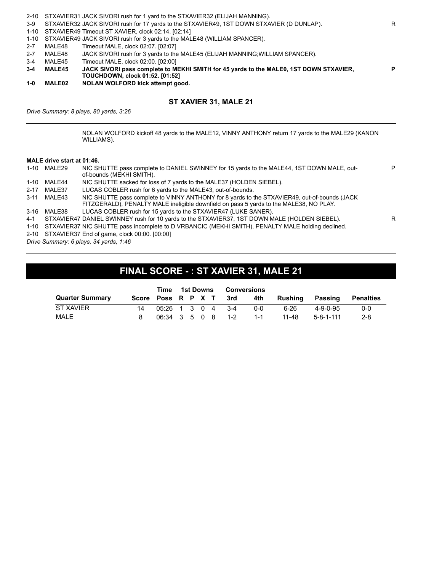| 1-0     | <b>MALE02</b> | NOLAN WOLFORD kick attempt good.                                                          |    |
|---------|---------------|-------------------------------------------------------------------------------------------|----|
|         |               | <b>TOUCHDOWN, clock 01:52. [01:52]</b>                                                    |    |
| $3 - 4$ | <b>MALE45</b> | JACK SIVORI pass complete to MEKHI SMITH for 45 yards to the MALE0, 1ST DOWN STXAVIER,    | P. |
| 3-4     | MALE45        | Timeout MALE, clock 02:00. [02:00]                                                        |    |
| $2 - 7$ | MALE48        | JACK SIVORI rush for 3 yards to the MALE45 (ELIJAH MANNING; WILLIAM SPANCER).             |    |
| $2 - 7$ | MALE48        | Timeout MALE, clock 02:07. [02:07]                                                        |    |
|         |               | 1-10 STXAVIER49 JACK SIVORI rush for 3 yards to the MALE48 (WILLIAM SPANCER).             |    |
|         |               | 1-10 STXAVIER49 Timeout ST XAVIER, clock 02:14. [02:14]                                   |    |
| $3-9$   |               | STXAVIER32 JACK SIVORI rush for 17 yards to the STXAVIER49, 1ST DOWN STXAVIER (D DUNLAP). | R  |
|         |               | 2-10 STXAVIER31 JACK SIVORI rush for 1 yard to the STXAVIER32 (ELIJAH MANNING).           |    |

# **ST XAVIER 31, MALE 21**

*Drive Summary: 8 plays, 80 yards, 3:26*

NOLAN WOLFORD kickoff 48 yards to the MALE12, VINNY ANTHONY return 17 yards to the MALE29 (KANON WILLIAMS).

# **MALE drive start at 01:46.**

|          | 1-10 MALE29 | NIC SHUTTE pass complete to DANIEL SWINNEY for 15 yards to the MALE44, 1ST DOWN MALE, out-<br>of-bounds (MEKHI SMITH).                                                                 |   |
|----------|-------------|----------------------------------------------------------------------------------------------------------------------------------------------------------------------------------------|---|
| 1-10     | MALE44      | NIC SHUTTE sacked for loss of 7 yards to the MALE37 (HOLDEN SIEBEL).                                                                                                                   |   |
| $2 - 17$ | MALE37      | LUCAS COBLER rush for 6 yards to the MALE43, out-of-bounds.                                                                                                                            |   |
|          | 3-11 MALE43 | NIC SHUTTE pass complete to VINNY ANTHONY for 8 yards to the STXAVIER49, out-of-bounds (JACK<br>FITZGERALD), PENALTY MALE ineligible downfield on pass 5 yards to the MALE38, NO PLAY. |   |
| 3-16     | MALE38      | LUCAS COBLER rush for 15 yards to the STXAVIER47 (LUKE SANER).                                                                                                                         |   |
| $4 - 1$  |             | STXAVIER47 DANIEL SWINNEY rush for 10 yards to the STXAVIER37, 1ST DOWN MALE (HOLDEN SIEBEL).                                                                                          | R |
|          |             | 1-10 STXAVIER37 NIC SHUTTE pass incomplete to D VRBANCIC (MEKHI SMITH), PENALTY MALE holding declined.                                                                                 |   |
|          |             | 2-10 STXAVIER37 End of game, clock 00:00. [00:00]                                                                                                                                      |   |
|          |             | Drive Summary: 6 plays, 34 yards, 1:46                                                                                                                                                 |   |
|          |             |                                                                                                                                                                                        |   |

# **FINAL SCORE - : ST XAVIER 31, MALE 21**

|                        | Time                  |  | 1st Downs | <b>Conversions</b>         |      |         |                   |           |
|------------------------|-----------------------|--|-----------|----------------------------|------|---------|-------------------|-----------|
| <b>Quarter Summary</b> |                       |  |           | Score Poss R P X T 3rd 4th |      | Rushina | Passing           | Penalties |
| ST XAVIER              | $0.5:26$ 1 3 0 4 3 -4 |  |           |                            | ი-ი  | 6-26    | $4 - 9 - 0 - 95$  | $0 - 0$   |
| MALE                   | 06:34 3 5 0 8 1-2     |  |           |                            | -1-1 | 11-48   | $5 - 8 - 1 - 111$ | $2 - 8$   |